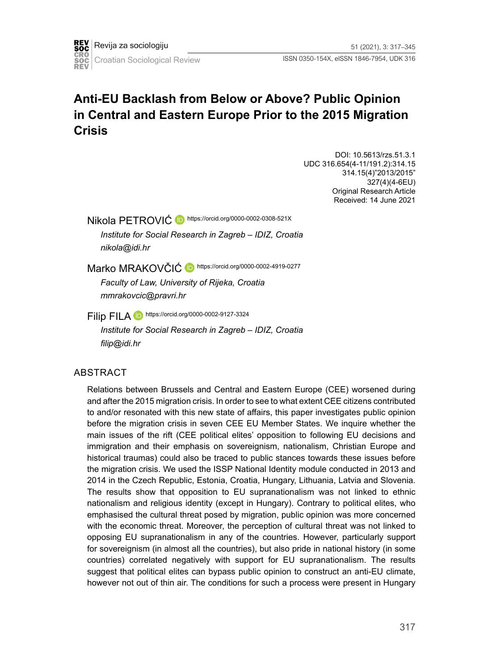# **Anti-EU Backlash from Below or Above? Public Opinion in Central and Eastern Europe Prior to the 2015 Migration Crisis**

DOI: 10.5613/rzs.51.3.1 UDC 316.654(4-11/191.2):314.15 314.15(4)"2013/2015" 327(4)(4-6EU) Original Research Article Received: 14 June 2021

Nikola PETROVIĆ **D** <https://orcid.org/0000-0002-0308-521X>

*Institute for Social Research in Zagreb – IDIZ, Croatia nikola@idi.hr*

Marko MRAKOVČIĆ **D** <https://orcid.org/0000-0002-4919-0277>

*Faculty of Law, University of Rijeka, Croatia mmrakovcic@pravri.hr*

Filip FILA **https://orcid.org/0000-0002-9127-3324** *Institute for Social Research in Zagreb – IDIZ, Croatia filip@idi.hr*

#### ABSTRACT

Relations between Brussels and Central and Eastern Europe (CEE) worsened during and after the 2015 migration crisis. In order to see to what extent CEE citizens contributed to and/or resonated with this new state of affairs, this paper investigates public opinion before the migration crisis in seven CEE EU Member States. We inquire whether the main issues of the rift (CEE political elites' opposition to following EU decisions and immigration and their emphasis on sovereignism, nationalism, Christian Europe and historical traumas) could also be traced to public stances towards these issues before the migration crisis. We used the ISSP National Identity module conducted in 2013 and 2014 in the Czech Republic, Estonia, Croatia, Hungary, Lithuania, Latvia and Slovenia. The results show that opposition to EU supranationalism was not linked to ethnic nationalism and religious identity (except in Hungary). Contrary to political elites, who emphasised the cultural threat posed by migration, public opinion was more concerned with the economic threat. Moreover, the perception of cultural threat was not linked to opposing EU supranationalism in any of the countries. However, particularly support for sovereignism (in almost all the countries), but also pride in national history (in some countries) correlated negatively with support for EU supranationalism. The results suggest that political elites can bypass public opinion to construct an anti-EU climate, however not out of thin air. The conditions for such a process were present in Hungary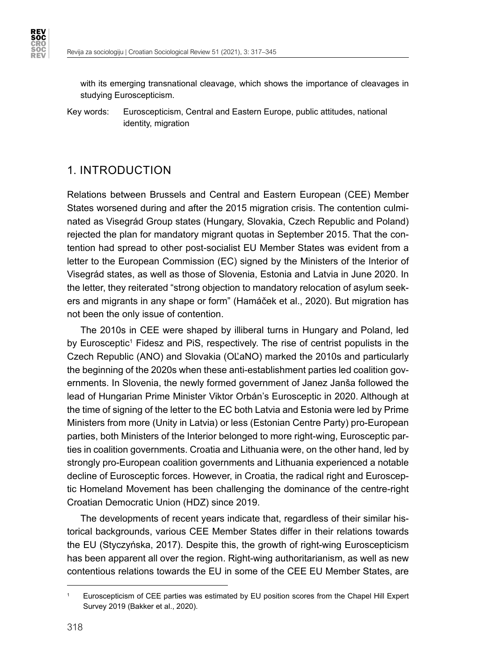**REV<br>SOC CRO<br>SOC<br>REV** 

> with its emerging transnational cleavage, which shows the importance of cleavages in studying Euroscepticism.

Key words: Euroscepticism, Central and Eastern Europe, public attitudes, national identity, migration

## 1. INTRODUCTION

Relations between Brussels and Central and Eastern European (CEE) Member States worsened during and after the 2015 migration crisis. The contention culminated as Visegrád Group states (Hungary, Slovakia, Czech Republic and Poland) rejected the plan for mandatory migrant quotas in September 2015. That the contention had spread to other post-socialist EU Member States was evident from a letter to the European Commission (EC) signed by the Ministers of the Interior of Visegrád states, as well as those of Slovenia, Estonia and Latvia in June 2020. In the letter, they reiterated "strong objection to mandatory relocation of asylum seekers and migrants in any shape or form" (Hamáček et al., 2020). But migration has not been the only issue of contention.

The 2010s in CEE were shaped by illiberal turns in Hungary and Poland, led by Eurosceptic<sup>1</sup> Fidesz and PiS, respectively. The rise of centrist populists in the Czech Republic (ANO) and Slovakia (OĽaNO) marked the 2010s and particularly the beginning of the 2020s when these anti-establishment parties led coalition governments. In Slovenia, the newly formed government of Janez Janša followed the lead of Hungarian Prime Minister Viktor Orbán's Eurosceptic in 2020. Although at the time of signing of the letter to the EC both Latvia and Estonia were led by Prime Ministers from more (Unity in Latvia) or less (Estonian Centre Party) pro-European parties, both Ministers of the Interior belonged to more right-wing, Eurosceptic parties in coalition governments. Croatia and Lithuania were, on the other hand, led by strongly pro-European coalition governments and Lithuania experienced a notable decline of Eurosceptic forces. However, in Croatia, the radical right and Eurosceptic Homeland Movement has been challenging the dominance of the centre-right Croatian Democratic Union (HDZ) since 2019.

The developments of recent years indicate that, regardless of their similar historical backgrounds, various CEE Member States differ in their relations towards the EU (Styczyńska, 2017). Despite this, the growth of right-wing Euroscepticism has been apparent all over the region. Right-wing authoritarianism, as well as new contentious relations towards the EU in some of the CEE EU Member States, are

<sup>1</sup> Euroscepticism of CEE parties was estimated by EU position scores from the Chapel Hill Expert Survey 2019 (Bakker et al., 2020).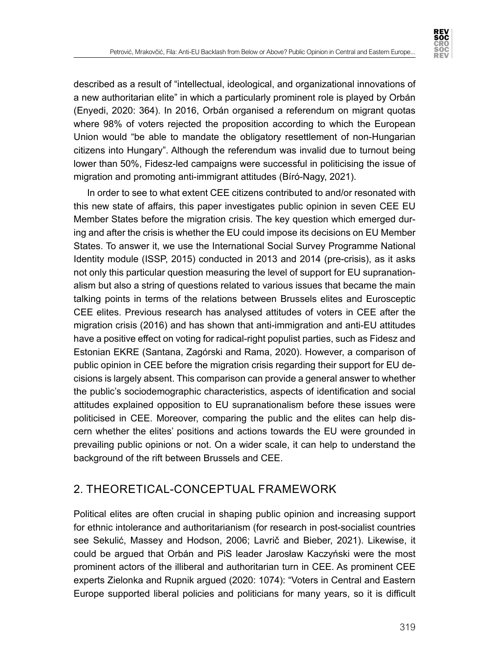

described as a result of "intellectual, ideological, and organizational innovations of a new authoritarian elite" in which a particularly prominent role is played by Orbán (Enyedi, 2020: 364). In 2016, Orbán organised a referendum on migrant quotas where 98% of voters rejected the proposition according to which the European Union would "be able to mandate the obligatory resettlement of non-Hungarian citizens into Hungary". Although the referendum was invalid due to turnout being lower than 50%, Fidesz-led campaigns were successful in politicising the issue of migration and promoting anti-immigrant attitudes (Bíró-Nagy, 2021).

In order to see to what extent CEE citizens contributed to and/or resonated with this new state of affairs, this paper investigates public opinion in seven CEE EU Member States before the migration crisis. The key question which emerged during and after the crisis is whether the EU could impose its decisions on EU Member States. To answer it, we use the International Social Survey Programme National Identity module (ISSP, 2015) conducted in 2013 and 2014 (pre-crisis), as it asks not only this particular question measuring the level of support for EU supranationalism but also a string of questions related to various issues that became the main talking points in terms of the relations between Brussels elites and Eurosceptic CEE elites. Previous research has analysed attitudes of voters in CEE after the migration crisis (2016) and has shown that anti-immigration and anti-EU attitudes have a positive effect on voting for radical-right populist parties, such as Fidesz and Estonian EKRE (Santana, Zagórski and Rama, 2020). However, a comparison of public opinion in CEE before the migration crisis regarding their support for EU decisions is largely absent. This comparison can provide a general answer to whether the public's sociodemographic characteristics, aspects of identification and social attitudes explained opposition to EU supranationalism before these issues were politicised in CEE. Moreover, comparing the public and the elites can help discern whether the elites' positions and actions towards the EU were grounded in prevailing public opinions or not. On a wider scale, it can help to understand the background of the rift between Brussels and CEE.

## 2. THEORETICAL-CONCEPTUAL FRAMEWORK

Political elites are often crucial in shaping public opinion and increasing support for ethnic intolerance and authoritarianism (for research in post-socialist countries see Sekulić, Massey and Hodson, 2006; Lavrič and Bieber, 2021). Likewise, it could be argued that Orbán and PiS leader Jarosław Kaczyński were the most prominent actors of the illiberal and authoritarian turn in CEE. As prominent CEE experts Zielonka and Rupnik argued (2020: 1074): "Voters in Central and Eastern Europe supported liberal policies and politicians for many years, so it is difficult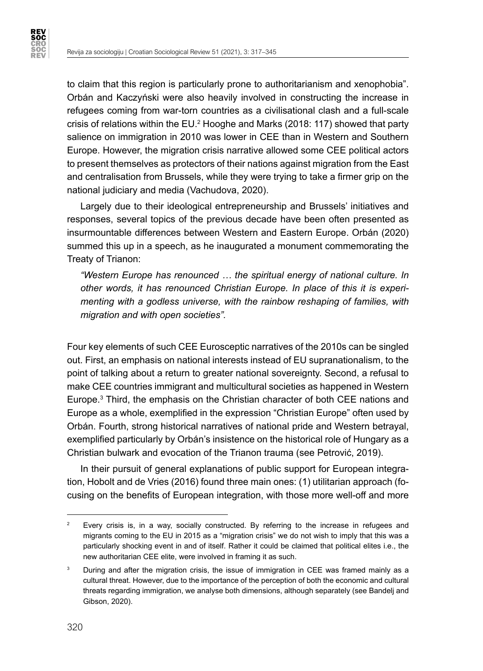**REV<br>SOC SOC<br>REV** 

> to claim that this region is particularly prone to authoritarianism and xenophobia". Orbán and Kaczyński were also heavily involved in constructing the increase in refugees coming from war-torn countries as a civilisational clash and a full-scale crisis of relations within the EU. $^2$  Hooghe and Marks (2018: 117) showed that party salience on immigration in 2010 was lower in CEE than in Western and Southern Europe. However, the migration crisis narrative allowed some CEE political actors to present themselves as protectors of their nations against migration from the East and centralisation from Brussels, while they were trying to take a firmer grip on the national judiciary and media (Vachudova, 2020).

> Largely due to their ideological entrepreneurship and Brussels' initiatives and responses, several topics of the previous decade have been often presented as insurmountable differences between Western and Eastern Europe. Orbán (2020) summed this up in a speech, as he inaugurated a monument commemorating the Treaty of Trianon:

*"Western Europe has renounced … the spiritual energy of national culture. In other words, it has renounced Christian Europe. In place of this it is experimenting with a godless universe, with the rainbow reshaping of families, with migration and with open societies".* 

Four key elements of such CEE Eurosceptic narratives of the 2010s can be singled out. First, an emphasis on national interests instead of EU supranationalism, to the point of talking about a return to greater national sovereignty. Second, a refusal to make CEE countries immigrant and multicultural societies as happened in Western Europe.3 Third, the emphasis on the Christian character of both CEE nations and Europe as a whole, exemplified in the expression "Christian Europe" often used by Orbán. Fourth, strong historical narratives of national pride and Western betrayal, exemplified particularly by Orbán's insistence on the historical role of Hungary as a Christian bulwark and evocation of the Trianon trauma (see Petrović, 2019).

In their pursuit of general explanations of public support for European integration, Hobolt and de Vries (2016) found three main ones: (1) utilitarian approach (focusing on the benefits of European integration, with those more well-off and more

<sup>&</sup>lt;sup>2</sup> Every crisis is, in a way, socially constructed. By referring to the increase in refugees and migrants coming to the EU in 2015 as a "migration crisis" we do not wish to imply that this was a particularly shocking event in and of itself. Rather it could be claimed that political elites i.e., the new authoritarian CEE elite, were involved in framing it as such.

<sup>&</sup>lt;sup>3</sup> During and after the migration crisis, the issue of immigration in CEE was framed mainly as a cultural threat. However, due to the importance of the perception of both the economic and cultural threats regarding immigration, we analyse both dimensions, although separately (see Bandelj and Gibson, 2020).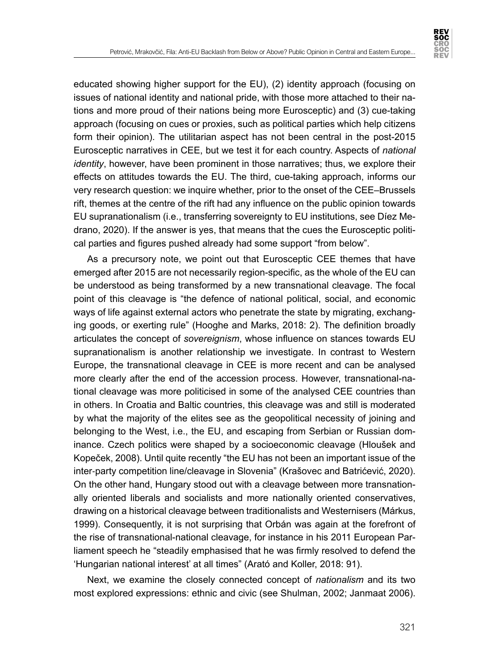

educated showing higher support for the EU), (2) identity approach (focusing on issues of national identity and national pride, with those more attached to their nations and more proud of their nations being more Eurosceptic) and (3) cue-taking approach (focusing on cues or proxies, such as political parties which help citizens form their opinion). The utilitarian aspect has not been central in the post-2015 Eurosceptic narratives in CEE, but we test it for each country. Aspects of *national identity*, however, have been prominent in those narratives; thus, we explore their effects on attitudes towards the EU. The third, cue-taking approach, informs our very research question: we inquire whether, prior to the onset of the CEE–Brussels rift, themes at the centre of the rift had any influence on the public opinion towards EU supranationalism (i.e., transferring sovereignty to EU institutions, see Díez Medrano, 2020). If the answer is yes, that means that the cues the Eurosceptic political parties and figures pushed already had some support "from below".

As a precursory note, we point out that Eurosceptic CEE themes that have emerged after 2015 are not necessarily region-specific, as the whole of the EU can be understood as being transformed by a new transnational cleavage. The focal point of this cleavage is "the defence of national political, social, and economic ways of life against external actors who penetrate the state by migrating, exchanging goods, or exerting rule" (Hooghe and Marks, 2018: 2). The definition broadly articulates the concept of *sovereignism*, whose influence on stances towards EU supranationalism is another relationship we investigate. In contrast to Western Europe, the transnational cleavage in CEE is more recent and can be analysed more clearly after the end of the accession process. However, transnational-national cleavage was more politicised in some of the analysed CEE countries than in others. In Croatia and Baltic countries, this cleavage was and still is moderated by what the majority of the elites see as the geopolitical necessity of joining and belonging to the West, i.e., the EU, and escaping from Serbian or Russian dominance. Czech politics were shaped by a socioeconomic cleavage (Hloušek and Kopeček, 2008). Until quite recently "the EU has not been an important issue of the inter-party competition line/cleavage in Slovenia" (Krašovec and Batrićević, 2020). On the other hand, Hungary stood out with a cleavage between more transnationally oriented liberals and socialists and more nationally oriented conservatives, drawing on a historical cleavage between traditionalists and Westernisers (Márkus, 1999). Consequently, it is not surprising that Orbán was again at the forefront of the rise of transnational-national cleavage, for instance in his 2011 European Parliament speech he "steadily emphasised that he was firmly resolved to defend the 'Hungarian national interest' at all times" (Arató and Koller, 2018: 91).

Next, we examine the closely connected concept of *nationalism* and its two most explored expressions: ethnic and civic (see Shulman, 2002; Janmaat 2006).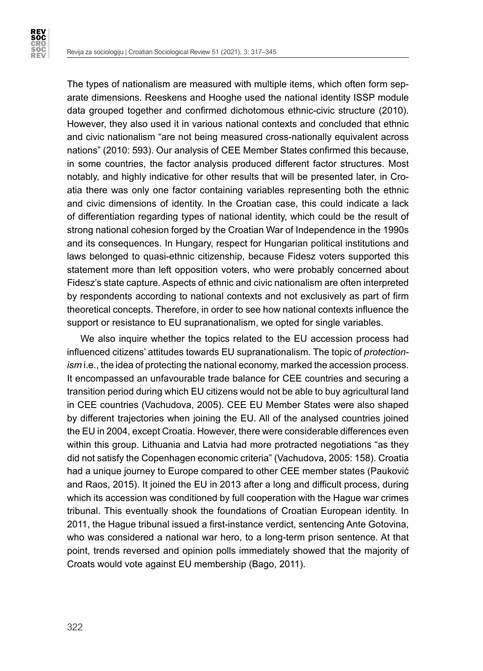

The types of nationalism are measured with multiple items, which often form separate dimensions. Reeskens and Hooghe used the national identity ISSP module data grouped together and confirmed dichotomous ethnic-civic structure (2010). However, they also used it in various national contexts and concluded that ethnic and civic nationalism "are not being measured cross-nationally equivalent across nations" (2010: 593). Our analysis of CEE Member States confirmed this because, in some countries, the factor analysis produced different factor structures. Most notably, and highly indicative for other results that will be presented later, in Croatia there was only one factor containing variables representing both the ethnic and civic dimensions of identity. In the Croatian case, this could indicate a lack of differentiation regarding types of national identity, which could be the result of strong national cohesion forged by the Croatian War of Independence in the 1990s and its consequences. In Hungary, respect for Hungarian political institutions and laws belonged to quasi-ethnic citizenship, because Fidesz voters supported this statement more than left opposition voters, who were probably concerned about Fidesz's state capture. Aspects of ethnic and civic nationalism are often interpreted by respondents according to national contexts and not exclusively as part of firm theoretical concepts. Therefore, in order to see how national contexts influence the support or resistance to EU supranationalism, we opted for single variables.

We also inquire whether the topics related to the EU accession process had influenced citizens' attitudes towards EU supranationalism. The topic of *protectionism* i.e., the idea of protecting the national economy, marked the accession process. It encompassed an unfavourable trade balance for CEE countries and securing a transition period during which EU citizens would not be able to buy agricultural land in CEE countries (Vachudova, 2005). CEE EU Member States were also shaped by different trajectories when joining the EU. All of the analysed countries joined the EU in 2004, except Croatia. However, there were considerable differences even within this group. Lithuania and Latvia had more protracted negotiations "as they did not satisfy the Copenhagen economic criteria" (Vachudova, 2005: 158). Croatia had a unique journey to Europe compared to other CEE member states (Pauković and Raos, 2015). It joined the EU in 2013 after a long and difficult process, during which its accession was conditioned by full cooperation with the Hague war crimes tribunal. This eventually shook the foundations of Croatian European identity. In 2011, the Hague tribunal issued a first-instance verdict, sentencing Ante Gotovina, who was considered a national war hero, to a long-term prison sentence. At that point, trends reversed and opinion polls immediately showed that the majority of Croats would vote against EU membership (Bago, 2011).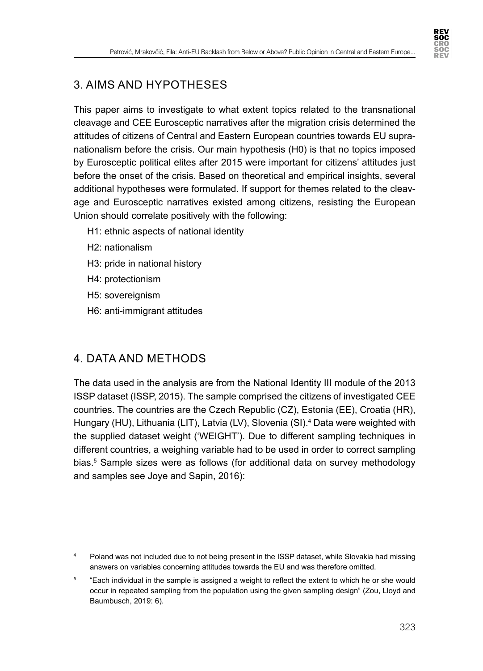

## 3. AIMS AND HYPOTHESES

This paper aims to investigate to what extent topics related to the transnational cleavage and CEE Eurosceptic narratives after the migration crisis determined the attitudes of citizens of Central and Eastern European countries towards EU supranationalism before the crisis. Our main hypothesis (H0) is that no topics imposed by Eurosceptic political elites after 2015 were important for citizens' attitudes just before the onset of the crisis. Based on theoretical and empirical insights, several additional hypotheses were formulated. If support for themes related to the cleavage and Eurosceptic narratives existed among citizens, resisting the European Union should correlate positively with the following:

- H1: ethnic aspects of national identity
- H2: nationalism
- H3: pride in national history
- H4: protectionism
- H5: sovereignism
- H6: anti-immigrant attitudes

## 4. DATA AND METHODS

The data used in the analysis are from the National Identity III module of the 2013 ISSP dataset (ISSP, 2015). The sample comprised the citizens of investigated CEE countries. The countries are the Czech Republic (CZ), Estonia (EE), Croatia (HR), Hungary (HU), Lithuania (LIT), Latvia (LV), Slovenia (SI).<sup>4</sup> Data were weighted with the supplied dataset weight ('WEIGHT'). Due to different sampling techniques in different countries, a weighing variable had to be used in order to correct sampling bias.<sup>5</sup> Sample sizes were as follows (for additional data on survey methodology and samples see Joye and Sapin, 2016):

<sup>4</sup> Poland was not included due to not being present in the ISSP dataset, while Slovakia had missing answers on variables concerning attitudes towards the EU and was therefore omitted.

<sup>&</sup>lt;sup>5</sup> "Each individual in the sample is assigned a weight to reflect the extent to which he or she would occur in repeated sampling from the population using the given sampling design" (Zou, Lloyd and Baumbusch, 2019: 6).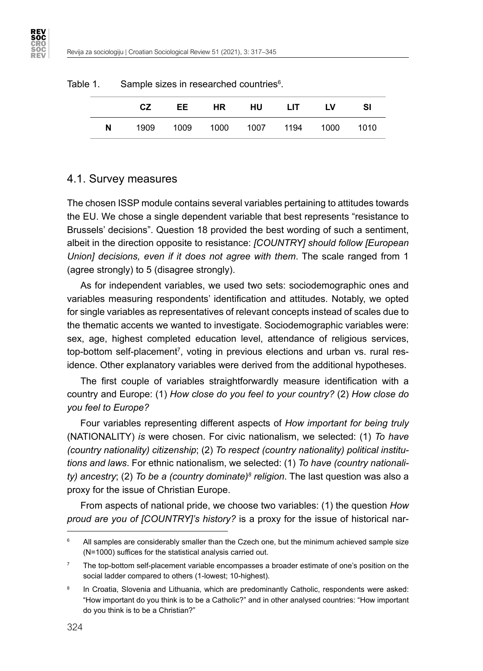|    | CZ. | EE . | HR. | <b>HU</b>                          | LIT. | LV | SI |
|----|-----|------|-----|------------------------------------|------|----|----|
| N. |     |      |     | 1909 1009 1000 1007 1194 1000 1010 |      |    |    |

#### Table 1. Sample sizes in researched countries $6$ .

#### 4.1. Survey measures

**REV<br>SOC** ŠÖČ<br>REV

> The chosen ISSP module contains several variables pertaining to attitudes towards the EU. We chose a single dependent variable that best represents "resistance to Brussels' decisions". Question 18 provided the best wording of such a sentiment, albeit in the direction opposite to resistance: *[COUNTRY] should follow [European Union] decisions, even if it does not agree with them*. The scale ranged from 1 (agree strongly) to 5 (disagree strongly).

> As for independent variables, we used two sets: sociodemographic ones and variables measuring respondents' identification and attitudes. Notably, we opted for single variables as representatives of relevant concepts instead of scales due to the thematic accents we wanted to investigate. Sociodemographic variables were: sex, age, highest completed education level, attendance of religious services, top-bottom self-placement<sup>7</sup>, voting in previous elections and urban vs. rural residence. Other explanatory variables were derived from the additional hypotheses.

> The first couple of variables straightforwardly measure identification with a country and Europe: (1) *How close do you feel to your country?* (2) *How close do you feel to Europe?*

> Four variables representing different aspects of *How important for being truly* (NATIONALITY) *is* were chosen. For civic nationalism, we selected: (1) *To have (country nationality) citizenship*; (2) *To respect (country nationality) political institutions and laws*. For ethnic nationalism, we selected: (1) *To have (country nationality) ancestry*; (2) *To be a (country dominate)<sup>s</sup> religion*. The last question was also a proxy for the issue of Christian Europe.

> From aspects of national pride, we choose two variables: (1) the question *How proud are you of [COUNTRY]'s history?* is a proxy for the issue of historical nar-

<sup>&</sup>lt;sup>6</sup> All samples are considerably smaller than the Czech one, but the minimum achieved sample size (N=1000) suffices for the statistical analysis carried out.

<sup>7</sup> The top-bottom self-placement variable encompasses a broader estimate of one's position on the social ladder compared to others (1-lowest; 10-highest).

In Croatia, Slovenia and Lithuania, which are predominantly Catholic, respondents were asked: "How important do you think is to be a Catholic?" and in other analysed countries: "How important do you think is to be a Christian?"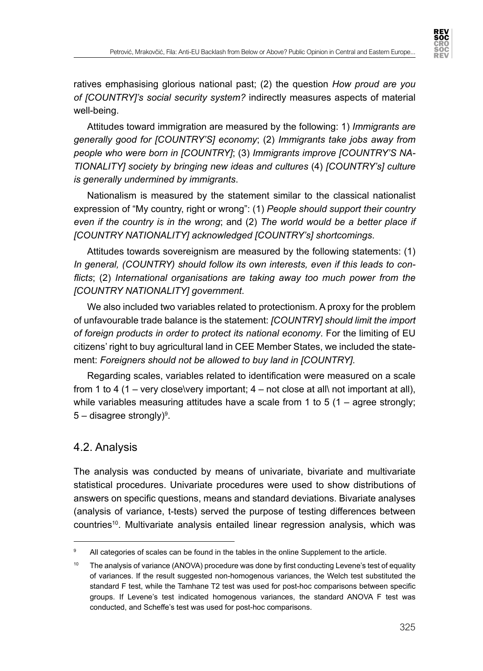ratives emphasising glorious national past; (2) the question *How proud are you of [COUNTRY]'s social security system?* indirectly measures aspects of material well-being.

Attitudes toward immigration are measured by the following: 1) *Immigrants are generally good for [COUNTRY'S] economy*; (2) *Immigrants take jobs away from people who were born in [COUNTRY]*; (3) *Immigrants improve [COUNTRY'S NA-TIONALITY] society by bringing new ideas and cultures* (4) *[COUNTRY's] culture is generally undermined by immigrants*.

Nationalism is measured by the statement similar to the classical nationalist expression of "My country, right or wrong": (1) *People should support their country even if the country is in the wrong*; and (2) *The world would be a better place if [COUNTRY NATIONALITY] acknowledged [COUNTRY's] shortcomings*.

Attitudes towards sovereignism are measured by the following statements: (1) *In general, (COUNTRY) should follow its own interests, even if this leads to conflicts*; (2) *International organisations are taking away too much power from the [COUNTRY NATIONALITY] government*.

We also included two variables related to protectionism. A proxy for the problem of unfavourable trade balance is the statement: *[COUNTRY] should limit the import of foreign products in order to protect its national economy*. For the limiting of EU citizens' right to buy agricultural land in CEE Member States, we included the statement: *Foreigners should not be allowed to buy land in [COUNTRY]*.

Regarding scales, variables related to identification were measured on a scale from 1 to 4 (1 – very close\very important; 4 – not close at all\ not important at all), while variables measuring attitudes have a scale from 1 to 5  $(1 -$  agree strongly;  $5$  – disagree strongly) $^{\rm 9}.$ 

## 4.2. Analysis

The analysis was conducted by means of univariate, bivariate and multivariate statistical procedures. Univariate procedures were used to show distributions of answers on specific questions, means and standard deviations. Bivariate analyses (analysis of variance, t-tests) served the purpose of testing differences between countries<sup>10</sup>. Multivariate analysis entailed linear regression analysis, which was

<sup>&</sup>lt;sup>9</sup> All categories of scales can be found in the tables in the online Supplement to the article.

<sup>&</sup>lt;sup>10</sup> The analysis of variance (ANOVA) procedure was done by first conducting Levene's test of equality of variances. If the result suggested non-homogenous variances, the Welch test substituted the standard F test, while the Tamhane T2 test was used for post-hoc comparisons between specific groups. If Levene's test indicated homogenous variances, the standard ANOVA F test was conducted, and Scheffe's test was used for post-hoc comparisons.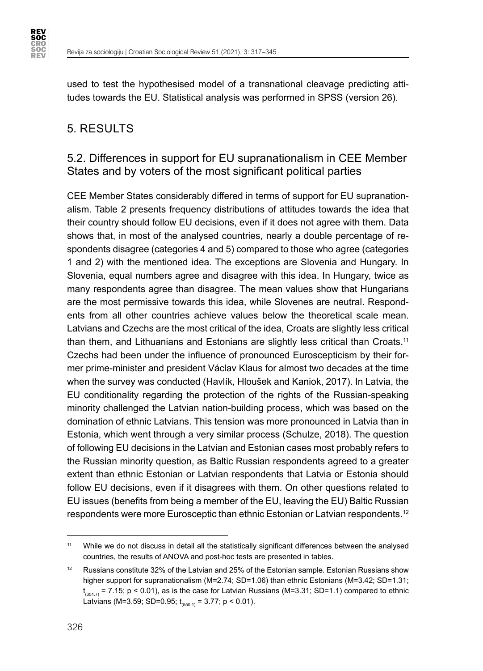

used to test the hypothesised model of a transnational cleavage predicting attitudes towards the EU. Statistical analysis was performed in SPSS (version 26).

## 5. RESULTS

## 5.2. Differences in support for EU supranationalism in CEE Member States and by voters of the most significant political parties

CEE Member States considerably differed in terms of support for EU supranationalism. Table 2 presents frequency distributions of attitudes towards the idea that their country should follow EU decisions, even if it does not agree with them. Data shows that, in most of the analysed countries, nearly a double percentage of respondents disagree (categories 4 and 5) compared to those who agree (categories 1 and 2) with the mentioned idea. The exceptions are Slovenia and Hungary. In Slovenia, equal numbers agree and disagree with this idea. In Hungary, twice as many respondents agree than disagree. The mean values show that Hungarians are the most permissive towards this idea, while Slovenes are neutral. Respondents from all other countries achieve values below the theoretical scale mean. Latvians and Czechs are the most critical of the idea, Croats are slightly less critical than them, and Lithuanians and Estonians are slightly less critical than Croats.<sup>11</sup> Czechs had been under the influence of pronounced Euroscepticism by their former prime-minister and president Václav Klaus for almost two decades at the time when the survey was conducted (Havlík, Hloušek and Kaniok, 2017). In Latvia, the EU conditionality regarding the protection of the rights of the Russian-speaking minority challenged the Latvian nation-building process, which was based on the domination of ethnic Latvians. This tension was more pronounced in Latvia than in Estonia, which went through a very similar process (Schulze, 2018). The question of following EU decisions in the Latvian and Estonian cases most probably refers to the Russian minority question, as Baltic Russian respondents agreed to a greater extent than ethnic Estonian or Latvian respondents that Latvia or Estonia should follow EU decisions, even if it disagrees with them. On other questions related to EU issues (benefits from being a member of the EU, leaving the EU) Baltic Russian respondents were more Eurosceptic than ethnic Estonian or Latvian respondents.12

<sup>11</sup> While we do not discuss in detail all the statistically significant differences between the analysed countries, the results of ANOVA and post-hoc tests are presented in tables.

<sup>&</sup>lt;sup>12</sup> Russians constitute 32% of the Latvian and 25% of the Estonian sample. Estonian Russians show higher support for supranationalism (M=2.74; SD=1.06) than ethnic Estonians (M=3.42; SD=1.31;  ${\sf t}_{_{(351.7)}}$  = 7.15; <code>p</code> < 0.01), as is the case for Latvian Russians (M=3.31; SD=1.1) compared to ethnic Latvians (M=3.59; SD=0.95;  $t_{(550.1)} = 3.77$ ; p < 0.01).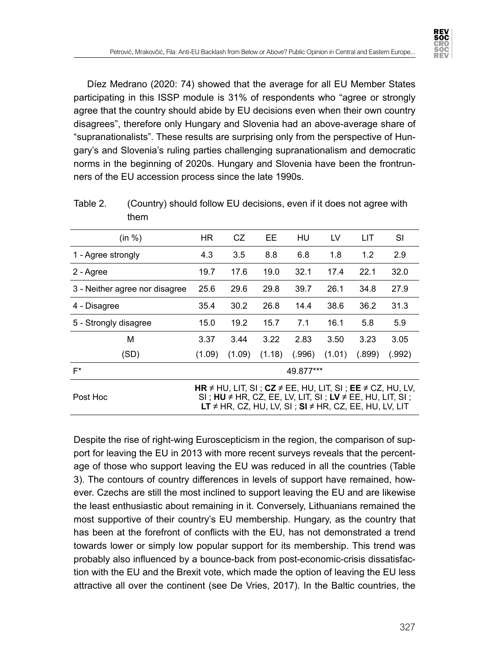

Díez Medrano (2020: 74) showed that the average for all EU Member States participating in this ISSP module is 31% of respondents who "agree or strongly agree that the country should abide by EU decisions even when their own country disagrees", therefore only Hungary and Slovenia had an above-average share of "supranationalists". These results are surprising only from the perspective of Hungary's and Slovenia's ruling parties challenging supranationalism and democratic norms in the beginning of 2020s. Hungary and Slovenia have been the frontrunners of the EU accession process since the late 1990s.

| (in %)                         | HR.    | CZ     | EE     | HU        | LV     | LIT                                                                                                                                                                                                                                                  | SI     |
|--------------------------------|--------|--------|--------|-----------|--------|------------------------------------------------------------------------------------------------------------------------------------------------------------------------------------------------------------------------------------------------------|--------|
| 1 - Agree strongly             | 4.3    | 3.5    | 8.8    | 6.8       | 1.8    | 1.2                                                                                                                                                                                                                                                  | 2.9    |
| 2 - Agree                      | 19.7   | 17.6   | 19.0   | 32.1      | 17.4   | 22.1                                                                                                                                                                                                                                                 | 32.0   |
| 3 - Neither agree nor disagree | 25.6   | 29.6   | 29.8   | 39.7      | 26.1   | 34.8                                                                                                                                                                                                                                                 | 27.9   |
| 4 - Disagree                   | 35.4   | 30.2   | 26.8   | 14.4      | 38.6   | 36.2                                                                                                                                                                                                                                                 | 31.3   |
| 5 - Strongly disagree          | 15.0   | 19.2   | 15.7   | 7.1       | 16.1   | 5.8                                                                                                                                                                                                                                                  | 5.9    |
| м                              | 3.37   | 3.44   | 3.22   | 2.83      | 3.50   | 3.23                                                                                                                                                                                                                                                 | 3.05   |
| (SD)                           | (1.09) | (1.09) | (1.18) | (.996)    | (1.01) | (.899)                                                                                                                                                                                                                                               | (.992) |
| $F^*$                          |        |        |        | 49.877*** |        |                                                                                                                                                                                                                                                      |        |
| Post Hoc                       |        |        |        |           |        | <b>HR</b> $\neq$ HU, LIT, SI; <b>CZ</b> $\neq$ EE, HU, LIT, SI; <b>EE</b> $\neq$ CZ, HU, LV,<br>SI; $HU \neq HR$ , CZ, EE, LV, LIT, SI; LV $\neq$ EE, HU, LIT, SI;<br><b>LT</b> $\neq$ HR, CZ, HU, LV, SI ; <b>SI</b> $\neq$ HR, CZ, EE, HU, LV, LIT |        |

Table 2. (Country) should follow EU decisions, even if it does not agree with them

Despite the rise of right-wing Euroscepticism in the region, the comparison of support for leaving the EU in 2013 with more recent surveys reveals that the percentage of those who support leaving the EU was reduced in all the countries (Table 3). The contours of country differences in levels of support have remained, however. Czechs are still the most inclined to support leaving the EU and are likewise the least enthusiastic about remaining in it. Conversely, Lithuanians remained the most supportive of their country's EU membership. Hungary, as the country that has been at the forefront of conflicts with the EU, has not demonstrated a trend towards lower or simply low popular support for its membership. This trend was probably also influenced by a bounce-back from post-economic-crisis dissatisfaction with the EU and the Brexit vote, which made the option of leaving the EU less attractive all over the continent (see De Vries, 2017). In the Baltic countries, the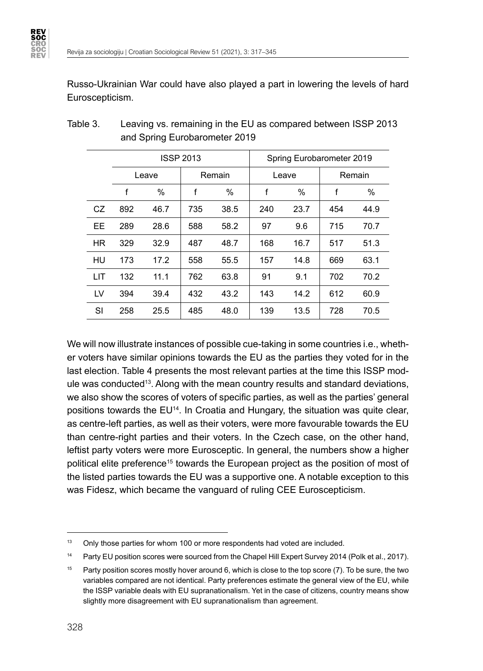**REV<br>SOC** 

Russo-Ukrainian War could have also played a part in lowering the levels of hard Euroscepticism.

|     |     |                   | <b>ISSP 2013</b> |        |     | Spring Eurobarometer 2019 |     |        |
|-----|-----|-------------------|------------------|--------|-----|---------------------------|-----|--------|
|     |     | Leave             |                  | Remain |     | Leave                     |     | Remain |
|     | f   | f<br>$\%$<br>$\%$ |                  |        | f   | $\%$                      | f   | $\%$   |
| CZ  | 892 | 46.7              | 735              | 38.5   | 240 | 23.7                      | 454 | 44.9   |
| EE  | 289 | 28.6              | 588              | 58.2   | 97  | 9.6                       | 715 | 70.7   |
| HR  | 329 | 32.9              | 487              | 48.7   | 168 | 16.7                      | 517 | 51.3   |
| HU  | 173 | 17.2              | 558              | 55.5   | 157 | 14.8                      | 669 | 63.1   |
| LIT | 132 | 11.1              | 762              | 63.8   | 91  | 9.1                       | 702 | 70.2   |
| LV  | 394 | 39.4              | 432              | 43.2   | 143 | 14.2                      | 612 | 60.9   |
| SI  | 258 | 25.5              | 485              | 48.0   | 139 | 13.5                      | 728 | 70.5   |

| Table 3. | Leaving vs. remaining in the EU as compared between ISSP 2013 |
|----------|---------------------------------------------------------------|
|          | and Spring Eurobarometer 2019                                 |

We will now illustrate instances of possible cue-taking in some countries i.e., whether voters have similar opinions towards the EU as the parties they voted for in the last election. Table 4 presents the most relevant parties at the time this ISSP module was conducted<sup>13</sup>. Along with the mean country results and standard deviations, we also show the scores of voters of specific parties, as well as the parties' general positions towards the EU14. In Croatia and Hungary, the situation was quite clear, as centre-left parties, as well as their voters, were more favourable towards the EU than centre-right parties and their voters. In the Czech case, on the other hand, leftist party voters were more Eurosceptic. In general, the numbers show a higher political elite preference<sup>15</sup> towards the European project as the position of most of the listed parties towards the EU was a supportive one. A notable exception to this was Fidesz, which became the vanguard of ruling CEE Euroscepticism.

<sup>&</sup>lt;sup>13</sup> Only those parties for whom 100 or more respondents had voted are included.

<sup>&</sup>lt;sup>14</sup> Party EU position scores were sourced from the Chapel Hill Expert Survey 2014 (Polk et al., 2017).

<sup>&</sup>lt;sup>15</sup> Party position scores mostly hover around 6, which is close to the top score  $(7)$ . To be sure, the two variables compared are not identical. Party preferences estimate the general view of the EU, while the ISSP variable deals with EU supranationalism. Yet in the case of citizens, country means show slightly more disagreement with EU supranationalism than agreement.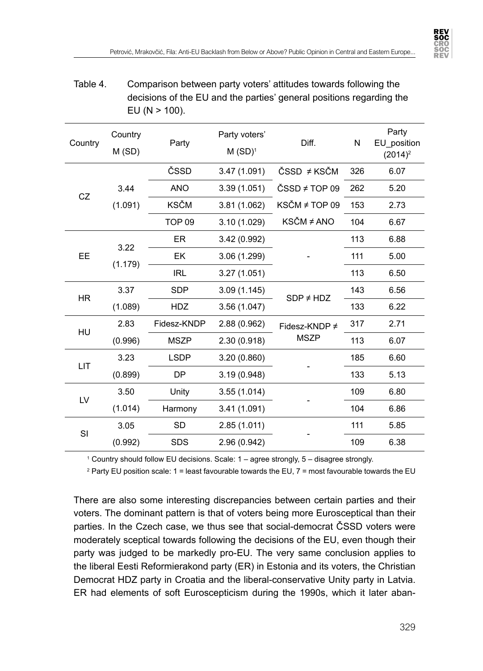

| Table 4. | Comparison between party voters' attitudes towards following the     |
|----------|----------------------------------------------------------------------|
|          | decisions of the EU and the parties' general positions regarding the |
|          | EU (N $>$ 100).                                                      |

| Country   | Country<br>M(SD) | Party         | Party voters'<br>$M$ (SD) <sup>1</sup> | Diff.              | N   | Party<br>EU position<br>$(2014)^2$ |
|-----------|------------------|---------------|----------------------------------------|--------------------|-----|------------------------------------|
|           |                  | ČSSD          | 3.47 (1.091)                           | ČSSD ≠ KSČM        | 326 | 6.07                               |
|           | 3.44             | <b>ANO</b>    | 3.39(1.051)                            | ČSSD ≠ TOP 09      | 262 | 5.20                               |
| CZ        | (1.091)          | <b>KSČM</b>   | 3.81(1.062)                            | KSČM ≠ TOP 09      | 153 | 2.73                               |
|           |                  | <b>TOP 09</b> | 3.10(1.029)                            | KSČM ≠ ANO         | 104 | 6.67                               |
|           | 3.22             | <b>ER</b>     | 3.42 (0.992)                           |                    | 113 | 6.88                               |
| <b>EE</b> |                  | EK            | 3.06 (1.299)                           |                    | 111 | 5.00                               |
|           | (1.179)          | <b>IRL</b>    | 3.27(1.051)                            |                    | 113 | 6.50                               |
| <b>HR</b> | 3.37             | <b>SDP</b>    | 3.09(1.145)                            | $SDP \neq HDZ$     | 143 | 6.56                               |
|           | (1.089)          | <b>HDZ</b>    | 3.56 (1.047)                           |                    | 133 | 6.22                               |
|           | 2.83             | Fidesz-KNDP   | 2.88(0.962)                            | Fidesz-KNDP $\neq$ | 317 | 2.71                               |
| HU        | (0.996)          | <b>MSZP</b>   | 2.30 (0.918)                           | <b>MSZP</b>        | 113 | 6.07                               |
| LIT       | 3.23             | <b>LSDP</b>   | 3.20 (0.860)                           |                    | 185 | 6.60                               |
|           | (0.899)          | <b>DP</b>     | 3.19 (0.948)                           |                    | 133 | 5.13                               |
| LV        | 3.50             | Unity         | 3.55(1.014)                            |                    | 109 | 6.80                               |
|           | (1.014)          | Harmony       | 3.41 (1.091)                           |                    | 104 | 6.86                               |
|           | 3.05             | <b>SD</b>     | 2.85(1.011)                            |                    | 111 | 5.85                               |
| SI        | (0.992)          | <b>SDS</b>    | 2.96 (0.942)                           |                    | 109 | 6.38                               |

1 Country should follow EU decisions. Scale: 1 – agree strongly, 5 – disagree strongly.

 $^{\rm 2}$  Party EU position scale: 1 = least favourable towards the EU, 7 = most favourable towards the EU

There are also some interesting discrepancies between certain parties and their voters. The dominant pattern is that of voters being more Eurosceptical than their parties. In the Czech case, we thus see that social-democrat ČSSD voters were moderately sceptical towards following the decisions of the EU, even though their party was judged to be markedly pro-EU. The very same conclusion applies to the liberal Eesti Reformierakond party (ER) in Estonia and its voters, the Christian Democrat HDZ party in Croatia and the liberal-conservative Unity party in Latvia. ER had elements of soft Euroscepticism during the 1990s, which it later aban-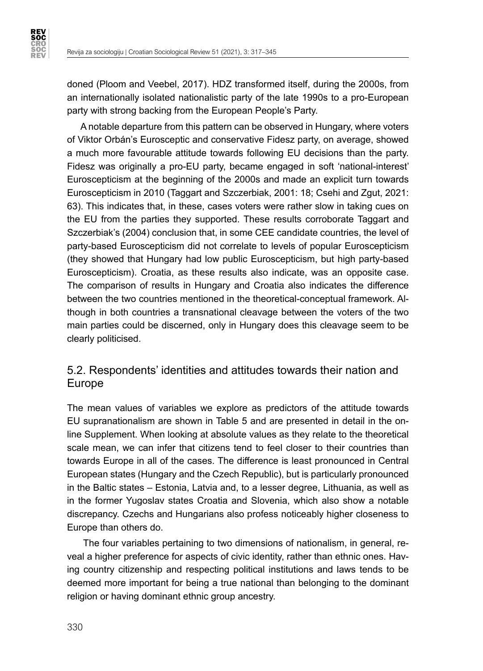

doned (Ploom and Veebel, 2017). HDZ transformed itself, during the 2000s, from an internationally isolated nationalistic party of the late 1990s to a pro-European party with strong backing from the European People's Party.

A notable departure from this pattern can be observed in Hungary, where voters of Viktor Orbán's Eurosceptic and conservative Fidesz party, on average, showed a much more favourable attitude towards following EU decisions than the party. Fidesz was originally a pro-EU party, became engaged in soft 'national-interest' Euroscepticism at the beginning of the 2000s and made an explicit turn towards Euroscepticism in 2010 (Taggart and Szczerbiak, 2001: 18; Csehi and Zgut, 2021: 63). This indicates that, in these, cases voters were rather slow in taking cues on the EU from the parties they supported. These results corroborate Taggart and Szczerbiak's (2004) conclusion that, in some CEE candidate countries, the level of party-based Euroscepticism did not correlate to levels of popular Euroscepticism (they showed that Hungary had low public Euroscepticism, but high party-based Euroscepticism). Croatia, as these results also indicate, was an opposite case. The comparison of results in Hungary and Croatia also indicates the difference between the two countries mentioned in the theoretical-conceptual framework. Although in both countries a transnational cleavage between the voters of the two main parties could be discerned, only in Hungary does this cleavage seem to be clearly politicised.

## 5.2. Respondents' identities and attitudes towards their nation and Europe

The mean values of variables we explore as predictors of the attitude towards EU supranationalism are shown in Table 5 and are presented in detail in the online Supplement. When looking at absolute values as they relate to the theoretical scale mean, we can infer that citizens tend to feel closer to their countries than towards Europe in all of the cases. The difference is least pronounced in Central European states (Hungary and the Czech Republic), but is particularly pronounced in the Baltic states – Estonia, Latvia and, to a lesser degree, Lithuania, as well as in the former Yugoslav states Croatia and Slovenia, which also show a notable discrepancy. Czechs and Hungarians also profess noticeably higher closeness to Europe than others do.

 The four variables pertaining to two dimensions of nationalism, in general, reveal a higher preference for aspects of civic identity, rather than ethnic ones. Having country citizenship and respecting political institutions and laws tends to be deemed more important for being a true national than belonging to the dominant religion or having dominant ethnic group ancestry.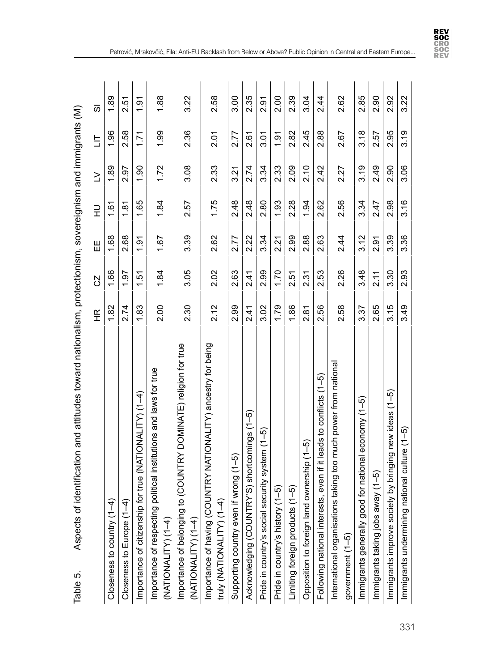| Table 5.                                       | identification and attitudes toward nationalism, protectionism, sovereignism and immigrants (M)<br>Aspects of |                            |                |               |      |        |      |      |
|------------------------------------------------|---------------------------------------------------------------------------------------------------------------|----------------------------|----------------|---------------|------|--------|------|------|
|                                                |                                                                                                               | $\frac{\alpha}{\pi}$       | CZ             | Ш             | 긒    | $\geq$ | 트    | ळ    |
| Closeness to country $(1 -$                    | ₹                                                                                                             | 1.82                       | 1.66           | 1.68          | 1.61 | 1.89   | 1.96 | 1.89 |
|                                                | Closeness to Europe (1-4)                                                                                     | 2.74                       | 1.97           | 2.68          | 1.81 | 2.97   | 2.58 | 2.51 |
| Importance of citizenship                      | for true (NATIONALITY) (1-4)                                                                                  | 1.83                       | 1.51           | $\frac{5}{2}$ | 1.65 | 1.90   | 1.71 | 1.91 |
| (NATIONALITY) (1-4)                            | political institutions and laws for true<br>Importance of respecting                                          | 2.00                       | 1.84           | 1.67          | 1.84 | 1.72   | 1.99 | 1.88 |
| Importance of belonging<br>(NATIONALITY) (1-4) | to (COUNTRY DOMINATE) religion for true                                                                       | 2.30                       | 3.05           | 3.39          | 2.57 | 3.08   | 2.36 | 3.22 |
|                                                | Importance of having (COUNTRY NATIONALITY) ancestry for being<br>truly (NATIONALITY) (1-4)                    | 2.12                       | 2.02           | 2.62          | 1.75 | 2.33   | 2.01 | 2.58 |
| Supporting country even                        | if wrong $(1-5)$                                                                                              | 2.99                       | 2.63           | 2.77          | 2.48 | 3.21   | 2.77 | 3.00 |
| Acknowledging (COUNTI                          | RY'S) shortcomings (1-5)                                                                                      | 2.41                       | 2.41           | 2.22          | 2.48 | 2.74   | 2.61 | 2.35 |
|                                                | Pride in country's social security system (1-5)                                                               | 3.02                       | 2.99           | 3.34          | 2.80 | 3.34   | 3.01 | 2.91 |
| Pride in country's history                     | $(1-5)$                                                                                                       | 1.79                       | 1.70           | 2.21          | 1.93 | 2.33   | 1.91 | 2.00 |
|                                                | Limiting foreign products (1-5)                                                                               | 1.86                       | 2.51           | 2.99          | 2.28 | 2.09   | 2.82 | 2.39 |
|                                                | Opposition to foreign land ownership (1-5)                                                                    | 2.81                       | 2.31           | 2.88          | 1.94 | 2.10   | 2.45 | 3.04 |
|                                                | Following national interests, even if it leads to conflicts (1-5)                                             | 56<br>$\tilde{\mathbf{v}}$ | 2.53           | 2.63          | 2.62 | 2.42   | 2.88 | 2.44 |
| government (1-5)                               | is taking too much power from national<br>International organisation                                          | 2.58                       | 2.26           | 2.44          | 2.56 | 2.27   | 2.67 | 2.62 |
|                                                | Immigrants generally good for national economy (1-5)                                                          | 3.37                       | 3.48           | 3.12          | 3.34 | 3.19   | 3.18 | 2.85 |
|                                                | Immigrants taking jobs away (1-5)                                                                             | 2.65                       | $\frac{21}{2}$ | 2.91          | 2.47 | 2.49   | 2.57 | 2.90 |
|                                                | Immigrants improve society by bringing new ideas (1-5)                                                        | 3.15                       | 3.30           | 3.39          | 2.98 | 2.90   | 2.95 | 2.92 |
| Immigrants undermining                         | national culture (1-5)                                                                                        | 3.49                       | 2.93           | 3.36          | 3.16 | 3.06   | 3.19 | 3.22 |

Petrović, Mrakovčić, Fila: Anti-EU Backlash from Below or Above? Public Opinion in Central and Eastern Europe...

**REV<br>SOC<br>CRO<br>SOC<br>REV<br>REV**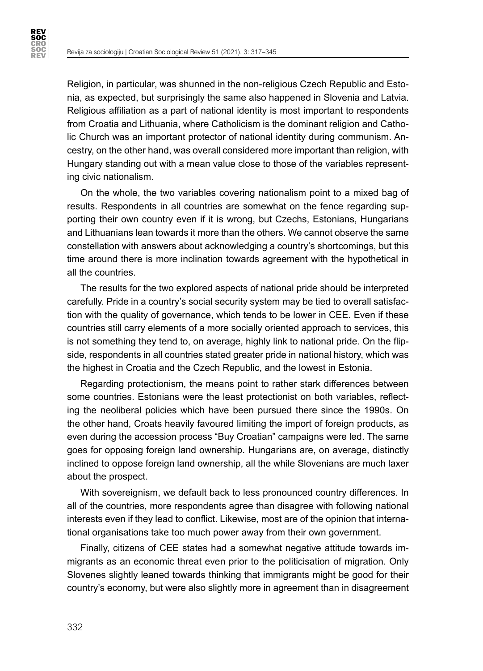**REV<br>SOC CRO<br>SOC<br>REV** 

> Religion, in particular, was shunned in the non-religious Czech Republic and Estonia, as expected, but surprisingly the same also happened in Slovenia and Latvia. Religious affiliation as a part of national identity is most important to respondents from Croatia and Lithuania, where Catholicism is the dominant religion and Catholic Church was an important protector of national identity during communism. Ancestry, on the other hand, was overall considered more important than religion, with Hungary standing out with a mean value close to those of the variables representing civic nationalism.

> On the whole, the two variables covering nationalism point to a mixed bag of results. Respondents in all countries are somewhat on the fence regarding supporting their own country even if it is wrong, but Czechs, Estonians, Hungarians and Lithuanians lean towards it more than the others. We cannot observe the same constellation with answers about acknowledging a country's shortcomings, but this time around there is more inclination towards agreement with the hypothetical in all the countries.

> The results for the two explored aspects of national pride should be interpreted carefully. Pride in a country's social security system may be tied to overall satisfaction with the quality of governance, which tends to be lower in CEE. Even if these countries still carry elements of a more socially oriented approach to services, this is not something they tend to, on average, highly link to national pride. On the flipside, respondents in all countries stated greater pride in national history, which was the highest in Croatia and the Czech Republic, and the lowest in Estonia.

> Regarding protectionism, the means point to rather stark differences between some countries. Estonians were the least protectionist on both variables, reflecting the neoliberal policies which have been pursued there since the 1990s. On the other hand, Croats heavily favoured limiting the import of foreign products, as even during the accession process "Buy Croatian" campaigns were led. The same goes for opposing foreign land ownership. Hungarians are, on average, distinctly inclined to oppose foreign land ownership, all the while Slovenians are much laxer about the prospect.

> With sovereignism, we default back to less pronounced country differences. In all of the countries, more respondents agree than disagree with following national interests even if they lead to conflict. Likewise, most are of the opinion that international organisations take too much power away from their own government.

> Finally, citizens of CEE states had a somewhat negative attitude towards immigrants as an economic threat even prior to the politicisation of migration. Only Slovenes slightly leaned towards thinking that immigrants might be good for their country's economy, but were also slightly more in agreement than in disagreement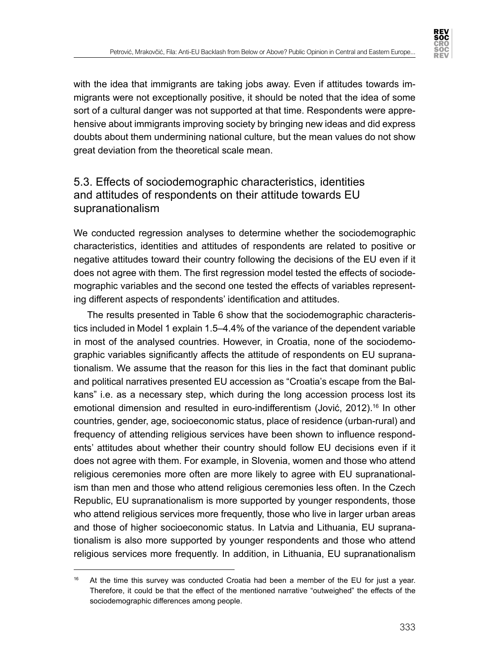

with the idea that immigrants are taking jobs away. Even if attitudes towards immigrants were not exceptionally positive, it should be noted that the idea of some sort of a cultural danger was not supported at that time. Respondents were apprehensive about immigrants improving society by bringing new ideas and did express doubts about them undermining national culture, but the mean values do not show great deviation from the theoretical scale mean.

## 5.3. Effects of sociodemographic characteristics, identities and attitudes of respondents on their attitude towards EU supranationalism

We conducted regression analyses to determine whether the sociodemographic characteristics, identities and attitudes of respondents are related to positive or negative attitudes toward their country following the decisions of the EU even if it does not agree with them. The first regression model tested the effects of sociodemographic variables and the second one tested the effects of variables representing different aspects of respondents' identification and attitudes.

The results presented in Table 6 show that the sociodemographic characteristics included in Model 1 explain 1.5–4.4% of the variance of the dependent variable in most of the analysed countries. However, in Croatia, none of the sociodemographic variables significantly affects the attitude of respondents on EU supranationalism. We assume that the reason for this lies in the fact that dominant public and political narratives presented EU accession as "Croatia's escape from the Balkans" i.e. as a necessary step, which during the long accession process lost its emotional dimension and resulted in euro-indifferentism (Jović, 2012).<sup>16</sup> In other countries, gender, age, socioeconomic status, place of residence (urban-rural) and frequency of attending religious services have been shown to influence respondents' attitudes about whether their country should follow EU decisions even if it does not agree with them. For example, in Slovenia, women and those who attend religious ceremonies more often are more likely to agree with EU supranationalism than men and those who attend religious ceremonies less often. In the Czech Republic, EU supranationalism is more supported by younger respondents, those who attend religious services more frequently, those who live in larger urban areas and those of higher socioeconomic status. In Latvia and Lithuania, EU supranationalism is also more supported by younger respondents and those who attend religious services more frequently. In addition, in Lithuania, EU supranationalism

At the time this survey was conducted Croatia had been a member of the EU for just a year. Therefore, it could be that the effect of the mentioned narrative "outweighed" the effects of the sociodemographic differences among people.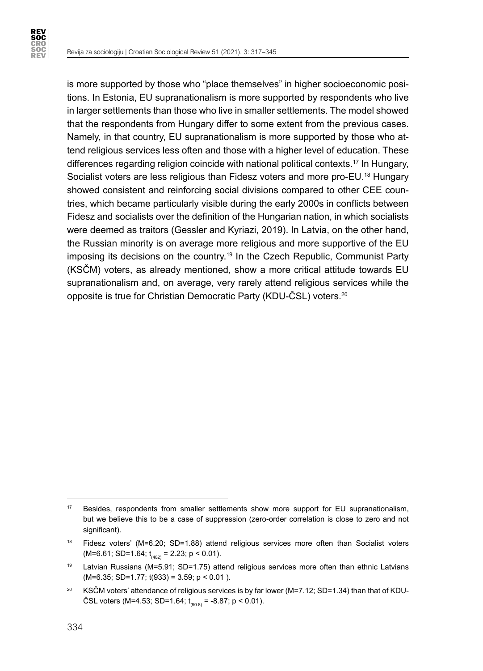

is more supported by those who "place themselves" in higher socioeconomic positions. In Estonia, EU supranationalism is more supported by respondents who live in larger settlements than those who live in smaller settlements. The model showed that the respondents from Hungary differ to some extent from the previous cases. Namely, in that country, EU supranationalism is more supported by those who attend religious services less often and those with a higher level of education. These differences regarding religion coincide with national political contexts.<sup>17</sup> In Hungary, Socialist voters are less religious than Fidesz voters and more pro-EU.18 Hungary showed consistent and reinforcing social divisions compared to other CEE countries, which became particularly visible during the early 2000s in conflicts between Fidesz and socialists over the definition of the Hungarian nation, in which socialists were deemed as traitors (Gessler and Kyriazi, 2019). In Latvia, on the other hand, the Russian minority is on average more religious and more supportive of the EU imposing its decisions on the country.19 In the Czech Republic, Communist Party (KSČM) voters, as already mentioned, show a more critical attitude towards EU supranationalism and, on average, very rarely attend religious services while the opposite is true for Christian Democratic Party (KDU-ČSL) voters.<sup>20</sup>

<sup>&</sup>lt;sup>17</sup> Besides, respondents from smaller settlements show more support for EU supranationalism, but we believe this to be a case of suppression (zero-order correlation is close to zero and not significant).

<sup>&</sup>lt;sup>18</sup> Fidesz voters' (M=6.20; SD=1.88) attend religious services more often than Socialist voters  $(M=6.61; SD=1.64; t_{(482)} = 2.23; p < 0.01).$ 

<sup>&</sup>lt;sup>19</sup> Latvian Russians (M=5.91; SD=1.75) attend religious services more often than ethnic Latvians  $(M=6.35; SD=1.77; t(933) = 3.59; p < 0.01$ ).

<sup>&</sup>lt;sup>20</sup> KSČM voters' attendance of religious services is by far lower (M=7.12; SD=1.34) than that of KDU-ČSL voters (M=4.53; SD=1.64;  $t_{(90.8)}$  = -8.87; p < 0.01).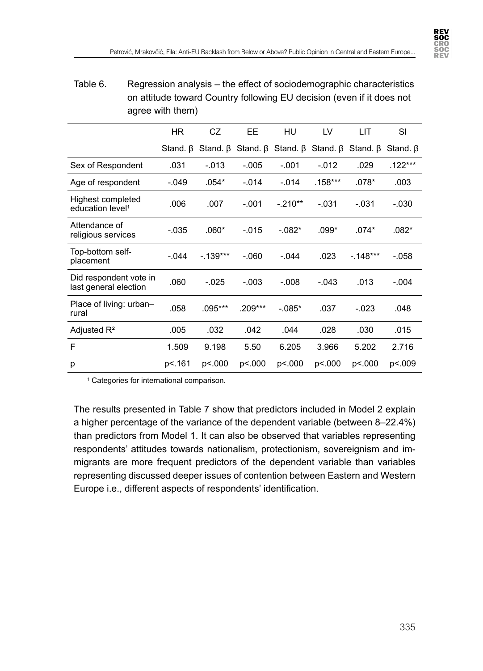

#### Table 6. Regression analysis – the effect of sociodemographic characteristics on attitude toward Country following EU decision (even if it does not agree with them)

|                                                   | <b>HR</b> | CZ                                                                                        | EE        | HU        | LV        | LIT       | SI             |
|---------------------------------------------------|-----------|-------------------------------------------------------------------------------------------|-----------|-----------|-----------|-----------|----------------|
|                                                   |           | Stand. $\beta$ Stand. $\beta$ Stand. $\beta$ Stand. $\beta$ Stand. $\beta$ Stand. $\beta$ |           |           |           |           | Stand. $\beta$ |
| Sex of Respondent                                 | .031      | $-0.013$                                                                                  | $-0.005$  | $-.001$   | $-012$    | .029      | $.122***$      |
| Age of respondent                                 | $-.049$   | $.054*$                                                                                   | $-014$    | $-.014$   | $.158***$ | $.078*$   | .003           |
| Highest completed<br>education level <sup>1</sup> | .006      | .007                                                                                      | $-.001$   | $-.210**$ | $-.031$   | $-.031$   | $-.030$        |
| Attendance of<br>religious services               | $-0.035$  | $.060*$                                                                                   | $-015$    | $-082*$   | $.099*$   | $.074*$   | $.082*$        |
| Top-bottom self-<br>placement                     | $-044$    | $-139***$                                                                                 | $-060$    | $-044$    | .023      | $-148***$ | $-.058$        |
| Did respondent vote in<br>last general election   | .060      | $-0.025$                                                                                  | $-.003$   | $-.008$   | $-.043$   | .013      | $-.004$        |
| Place of living: urban-<br>rural                  | .058      | .095***                                                                                   | $.209***$ | $-.085*$  | .037      | $-0.023$  | .048           |
| Adjusted $R^2$                                    | .005      | .032                                                                                      | .042      | .044      | .028      | .030      | .015           |
| F                                                 | 1.509     | 9.198                                                                                     | 5.50      | 6.205     | 3.966     | 5.202     | 2.716          |
| р                                                 | p<.161    | p<.000                                                                                    | p<.000    | p<.000    | p<.000    | p<.000    | p<.009         |

1 Categories for international comparison.

The results presented in Table 7 show that predictors included in Model 2 explain a higher percentage of the variance of the dependent variable (between 8–22.4%) than predictors from Model 1. It can also be observed that variables representing respondents' attitudes towards nationalism, protectionism, sovereignism and immigrants are more frequent predictors of the dependent variable than variables representing discussed deeper issues of contention between Eastern and Western Europe i.e., different aspects of respondents' identification.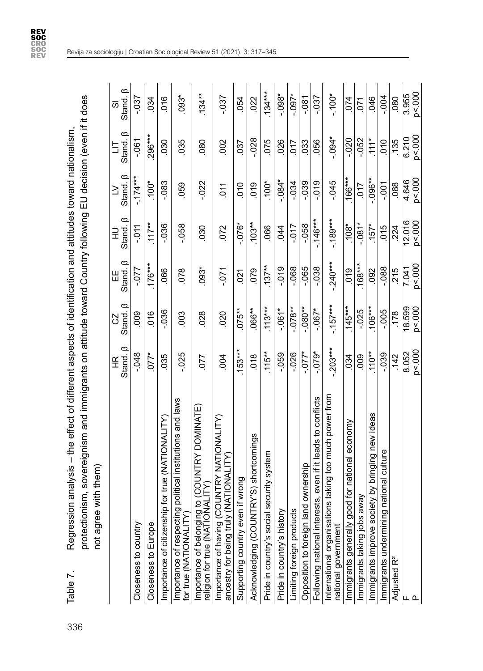| Regression analysis – the effect of different aspects of identification and attitudes toward nationalism, | protectionism, sovereignism and immigrants on attitude toward Country following EU decision (even if |
|-----------------------------------------------------------------------------------------------------------|------------------------------------------------------------------------------------------------------|
|                                                                                                           |                                                                                                      |
|                                                                                                           |                                                                                                      |
|                                                                                                           |                                                                                                      |
| ľ<br>ahle 7                                                                                               |                                                                                                      |

**REV<br>SOC<br>CRO<br>SOC<br>REV<br>REV** 

| Table 7.                | protectionism, sovereignism and immigrants on attitude toward Country following EU decision (even if it does<br>analysis – the effect of different aspects of identification and attitudes toward nationalism<br>Regression |                  |                          |                  |                   |                          |                  |                 |
|-------------------------|-----------------------------------------------------------------------------------------------------------------------------------------------------------------------------------------------------------------------------|------------------|--------------------------|------------------|-------------------|--------------------------|------------------|-----------------|
|                         | ith them)<br>not agree w                                                                                                                                                                                                    |                  |                          |                  |                   |                          |                  |                 |
|                         |                                                                                                                                                                                                                             | ∞<br>Stand.<br>뚠 | Stand. <sup>B</sup><br>S | Stand. B<br>出    | ∞<br>Stand.<br>긒  | Stand. <sup>B</sup><br>≧ | ∞<br>Stand.<br>5 | Stand. B<br>50  |
| Closeness to country    |                                                                                                                                                                                                                             | $-0.048$         | 800                      | $120 -$          | $-0.1$            | $-174***$                | $-061$           | $-0.37$         |
| Closeness to Europe     |                                                                                                                                                                                                                             | $.077*$          | 016                      | $.176***$        | $.117**$          | $.100*$                  | 296***           | 034             |
|                         | Importance of citizenship for true (NATIONALITY)                                                                                                                                                                            | 035              | $-0.36$                  | 066              | $-036$            | $-083$                   | <b>CSO</b>       | 016             |
|                         | Importance of respecting political institutions and laws<br>for true (NATIONALITY)                                                                                                                                          | $-0.025$         | 003                      | 078              | $-0.58$           | 059                      | 035              | $093*$          |
|                         | (COUNTRY DOMINATE)<br>religion for true (NATIONALITY)<br>Importance of belonging to                                                                                                                                         | 077              | 028                      | $.093*$          | 030               | $-0.022$                 | 080              | $.134***$       |
|                         | <b>JNTRY NATIONALITY</b><br>Importance of having (COUNTRY NATI<br>ancestry for being truly (NATIONALITY                                                                                                                     | 004              | 020                      | $-0.71$          | 072               | ξ                        | 002              | $-0.37$         |
|                         | wrong<br>Supporting country even if                                                                                                                                                                                         | $.153***$        | $.075***$                | $\overline{0}$   | $-0.076*$         | $\overline{0}$           | 037              | 054             |
|                         | Acknowledging (COUNTRY'S) shortcomings                                                                                                                                                                                      | 018              | .066**                   | 079              | $.103**$          | 019                      | $-0.28$          | 022             |
|                         | Pride in country's social security system                                                                                                                                                                                   | $.115**$         | $113***$                 | $.137**$         | 066               | $.100*$                  | 075              | $.134***$       |
|                         | Pride in country's history                                                                                                                                                                                                  | $-0.59$          | $-0.067$                 | $-0.019$         | 344               | $-0.084*$                | .026             | $-0.08$ *       |
|                         | Limiting foreign products                                                                                                                                                                                                   | $-0.026$         | $-0.078**$               | $-068$           | $-0.07 -$         | $-034$                   | 017              | $-0.00$         |
|                         | ownership<br>Opposition to foreign land                                                                                                                                                                                     | $-577*$          | $-0.080**$               | $-065$           | $-058$            | $-0.39$                  | 033              | $-0.81$         |
|                         | s, even if it leads to conflicts<br>Following national interests                                                                                                                                                            | $-0.075$         | $-0.067*$                | $-0.38$          | $-146***$         | $-0.019$                 | .056             | $-0.37$         |
| national government     | taking too much power from<br>International organisations                                                                                                                                                                   | $-203***$        | $-157***$                | $-240***$        | $-189***$         | $-0.045$                 | $-0.094*$        | $-100*$         |
|                         | for national economy<br>Immigrants generally good                                                                                                                                                                           | 034              | $.145***$                | 019              | $.108*$           | $166***$                 | $-0.020$         | .074            |
|                         | Immigrants taking jobs away                                                                                                                                                                                                 | 000              | $-0.025$                 | $.168***$        | $-0.081*$         | 710                      | $-0.52$          | 071             |
|                         | y by bringing new ideas<br>Immigrants improve societ                                                                                                                                                                        | $.110**$         | $106***$                 | .092             | $.157*$           | $-0.06**$                | $111*$           | .046            |
|                         | ational culture<br>Immigrants undermining na                                                                                                                                                                                | $-0.39$          | $-005$                   | $-088$           | 015               | $-0.001$                 | $\frac{1}{2}$    | $-004$          |
| Adjusted R <sup>2</sup> |                                                                                                                                                                                                                             | 142              | .178                     | 215              | 224               | 088                      | .135             | 080             |
| ட உ                     |                                                                                                                                                                                                                             | p < 000<br>8.052 | 18.599<br>p < 000        | p < 000<br>7.041 | 12.016<br>p < 000 | p < 000<br>4.646         | p < 000<br>6.210 | p<.000<br>3.955 |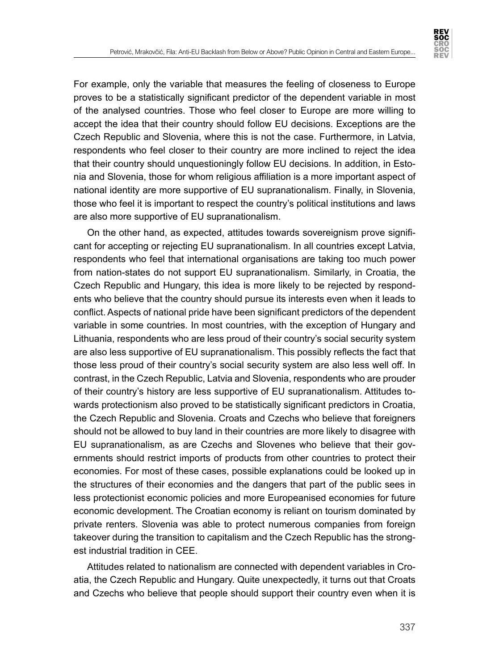

For example, only the variable that measures the feeling of closeness to Europe proves to be a statistically significant predictor of the dependent variable in most of the analysed countries. Those who feel closer to Europe are more willing to accept the idea that their country should follow EU decisions. Exceptions are the Czech Republic and Slovenia, where this is not the case. Furthermore, in Latvia, respondents who feel closer to their country are more inclined to reject the idea that their country should unquestioningly follow EU decisions. In addition, in Estonia and Slovenia, those for whom religious affiliation is a more important aspect of national identity are more supportive of EU supranationalism. Finally, in Slovenia, those who feel it is important to respect the country's political institutions and laws are also more supportive of EU supranationalism.

On the other hand, as expected, attitudes towards sovereignism prove significant for accepting or rejecting EU supranationalism. In all countries except Latvia, respondents who feel that international organisations are taking too much power from nation-states do not support EU supranationalism. Similarly, in Croatia, the Czech Republic and Hungary, this idea is more likely to be rejected by respondents who believe that the country should pursue its interests even when it leads to conflict. Aspects of national pride have been significant predictors of the dependent variable in some countries. In most countries, with the exception of Hungary and Lithuania, respondents who are less proud of their country's social security system are also less supportive of EU supranationalism. This possibly reflects the fact that those less proud of their country's social security system are also less well off. In contrast, in the Czech Republic, Latvia and Slovenia, respondents who are prouder of their country's history are less supportive of EU supranationalism. Attitudes towards protectionism also proved to be statistically significant predictors in Croatia, the Czech Republic and Slovenia. Croats and Czechs who believe that foreigners should not be allowed to buy land in their countries are more likely to disagree with EU supranationalism, as are Czechs and Slovenes who believe that their governments should restrict imports of products from other countries to protect their economies. For most of these cases, possible explanations could be looked up in the structures of their economies and the dangers that part of the public sees in less protectionist economic policies and more Europeanised economies for future economic development. The Croatian economy is reliant on tourism dominated by private renters. Slovenia was able to protect numerous companies from foreign takeover during the transition to capitalism and the Czech Republic has the strongest industrial tradition in CEE.

Attitudes related to nationalism are connected with dependent variables in Croatia, the Czech Republic and Hungary. Quite unexpectedly, it turns out that Croats and Czechs who believe that people should support their country even when it is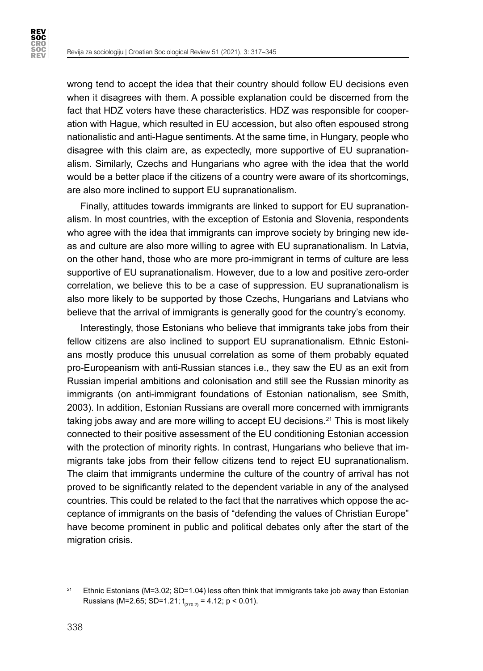**REV<br>SOC CRO<br>SOC<br>REV** 

> wrong tend to accept the idea that their country should follow EU decisions even when it disagrees with them. A possible explanation could be discerned from the fact that HDZ voters have these characteristics. HDZ was responsible for cooperation with Hague, which resulted in EU accession, but also often espoused strong nationalistic and anti-Hague sentiments. At the same time, in Hungary, people who disagree with this claim are, as expectedly, more supportive of EU supranationalism. Similarly, Czechs and Hungarians who agree with the idea that the world would be a better place if the citizens of a country were aware of its shortcomings, are also more inclined to support EU supranationalism.

> Finally, attitudes towards immigrants are linked to support for EU supranationalism. In most countries, with the exception of Estonia and Slovenia, respondents who agree with the idea that immigrants can improve society by bringing new ideas and culture are also more willing to agree with EU supranationalism. In Latvia, on the other hand, those who are more pro-immigrant in terms of culture are less supportive of EU supranationalism. However, due to a low and positive zero-order correlation, we believe this to be a case of suppression. EU supranationalism is also more likely to be supported by those Czechs, Hungarians and Latvians who believe that the arrival of immigrants is generally good for the country's economy.

> Interestingly, those Estonians who believe that immigrants take jobs from their fellow citizens are also inclined to support EU supranationalism. Ethnic Estonians mostly produce this unusual correlation as some of them probably equated pro-Europeanism with anti-Russian stances i.e., they saw the EU as an exit from Russian imperial ambitions and colonisation and still see the Russian minority as immigrants (on anti-immigrant foundations of Estonian nationalism, see Smith, 2003). In addition, Estonian Russians are overall more concerned with immigrants taking jobs away and are more willing to accept EU decisions.<sup>21</sup> This is most likely connected to their positive assessment of the EU conditioning Estonian accession with the protection of minority rights. In contrast, Hungarians who believe that immigrants take jobs from their fellow citizens tend to reject EU supranationalism. The claim that immigrants undermine the culture of the country of arrival has not proved to be significantly related to the dependent variable in any of the analysed countries. This could be related to the fact that the narratives which oppose the acceptance of immigrants on the basis of "defending the values of Christian Europe" have become prominent in public and political debates only after the start of the migration crisis.

<sup>&</sup>lt;sup>21</sup> Ethnic Estonians (M=3.02; SD=1.04) less often think that immigrants take job away than Estonian Russians (M=2.65; SD=1.21;  $t_{(370.2)} = 4.12$ ; p < 0.01).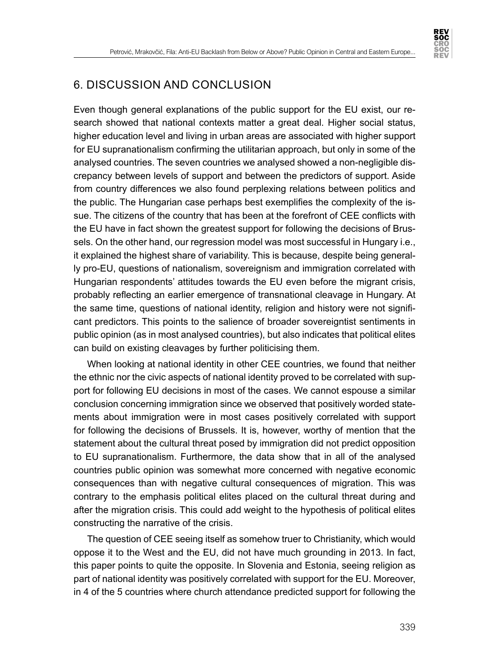

## 6. DISCUSSION AND CONCLUSION

Even though general explanations of the public support for the EU exist, our research showed that national contexts matter a great deal. Higher social status, higher education level and living in urban areas are associated with higher support for EU supranationalism confirming the utilitarian approach, but only in some of the analysed countries. The seven countries we analysed showed a non-negligible discrepancy between levels of support and between the predictors of support. Aside from country differences we also found perplexing relations between politics and the public. The Hungarian case perhaps best exemplifies the complexity of the issue. The citizens of the country that has been at the forefront of CEE conflicts with the EU have in fact shown the greatest support for following the decisions of Brussels. On the other hand, our regression model was most successful in Hungary i.e., it explained the highest share of variability. This is because, despite being generally pro-EU, questions of nationalism, sovereignism and immigration correlated with Hungarian respondents' attitudes towards the EU even before the migrant crisis, probably reflecting an earlier emergence of transnational cleavage in Hungary. At the same time, questions of national identity, religion and history were not significant predictors. This points to the salience of broader sovereigntist sentiments in public opinion (as in most analysed countries), but also indicates that political elites can build on existing cleavages by further politicising them.

When looking at national identity in other CEE countries, we found that neither the ethnic nor the civic aspects of national identity proved to be correlated with support for following EU decisions in most of the cases. We cannot espouse a similar conclusion concerning immigration since we observed that positively worded statements about immigration were in most cases positively correlated with support for following the decisions of Brussels. It is, however, worthy of mention that the statement about the cultural threat posed by immigration did not predict opposition to EU supranationalism. Furthermore, the data show that in all of the analysed countries public opinion was somewhat more concerned with negative economic consequences than with negative cultural consequences of migration. This was contrary to the emphasis political elites placed on the cultural threat during and after the migration crisis. This could add weight to the hypothesis of political elites constructing the narrative of the crisis.

The question of CEE seeing itself as somehow truer to Christianity, which would oppose it to the West and the EU, did not have much grounding in 2013. In fact, this paper points to quite the opposite. In Slovenia and Estonia, seeing religion as part of national identity was positively correlated with support for the EU. Moreover, in 4 of the 5 countries where church attendance predicted support for following the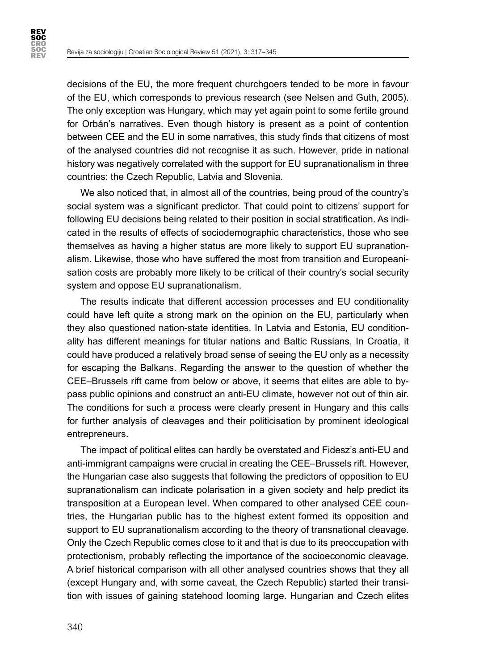**REV<br>SOC CRO<br>SOC<br>REV** 

> decisions of the EU, the more frequent churchgoers tended to be more in favour of the EU, which corresponds to previous research (see Nelsen and Guth, 2005). The only exception was Hungary, which may yet again point to some fertile ground for Orbán's narratives. Even though history is present as a point of contention between CEE and the EU in some narratives, this study finds that citizens of most of the analysed countries did not recognise it as such. However, pride in national history was negatively correlated with the support for EU supranationalism in three countries: the Czech Republic, Latvia and Slovenia.

> We also noticed that, in almost all of the countries, being proud of the country's social system was a significant predictor. That could point to citizens' support for following EU decisions being related to their position in social stratification. As indicated in the results of effects of sociodemographic characteristics, those who see themselves as having a higher status are more likely to support EU supranationalism. Likewise, those who have suffered the most from transition and Europeanisation costs are probably more likely to be critical of their country's social security system and oppose EU supranationalism.

> The results indicate that different accession processes and EU conditionality could have left quite a strong mark on the opinion on the EU, particularly when they also questioned nation-state identities. In Latvia and Estonia, EU conditionality has different meanings for titular nations and Baltic Russians. In Croatia, it could have produced a relatively broad sense of seeing the EU only as a necessity for escaping the Balkans. Regarding the answer to the question of whether the CEE–Brussels rift came from below or above, it seems that elites are able to bypass public opinions and construct an anti-EU climate, however not out of thin air. The conditions for such a process were clearly present in Hungary and this calls for further analysis of cleavages and their politicisation by prominent ideological entrepreneurs.

> The impact of political elites can hardly be overstated and Fidesz's anti-EU and anti-immigrant campaigns were crucial in creating the CEE–Brussels rift. However, the Hungarian case also suggests that following the predictors of opposition to EU supranationalism can indicate polarisation in a given society and help predict its transposition at a European level. When compared to other analysed CEE countries, the Hungarian public has to the highest extent formed its opposition and support to EU supranationalism according to the theory of transnational cleavage. Only the Czech Republic comes close to it and that is due to its preoccupation with protectionism, probably reflecting the importance of the socioeconomic cleavage. A brief historical comparison with all other analysed countries shows that they all (except Hungary and, with some caveat, the Czech Republic) started their transition with issues of gaining statehood looming large. Hungarian and Czech elites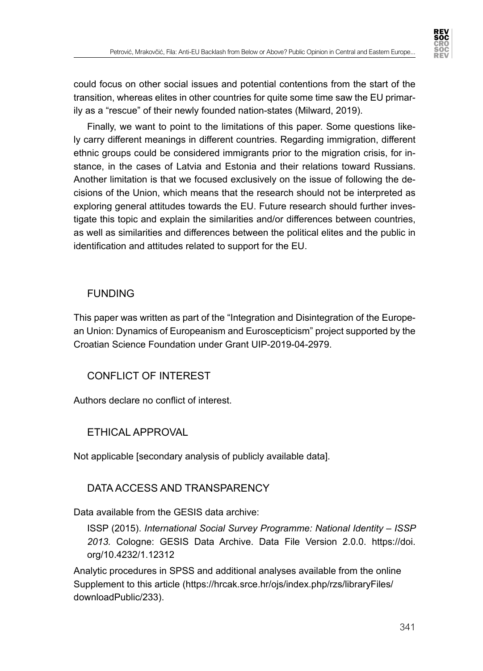

could focus on other social issues and potential contentions from the start of the transition, whereas elites in other countries for quite some time saw the EU primarily as a "rescue" of their newly founded nation-states (Milward, 2019).

Finally, we want to point to the limitations of this paper. Some questions likely carry different meanings in different countries. Regarding immigration, different ethnic groups could be considered immigrants prior to the migration crisis, for instance, in the cases of Latvia and Estonia and their relations toward Russians. Another limitation is that we focused exclusively on the issue of following the decisions of the Union, which means that the research should not be interpreted as exploring general attitudes towards the EU. Future research should further investigate this topic and explain the similarities and/or differences between countries, as well as similarities and differences between the political elites and the public in identification and attitudes related to support for the EU.

## **FUNDING**

This paper was written as part of the "Integration and Disintegration of the European Union: Dynamics of Europeanism and Euroscepticism" project supported by the Croatian Science Foundation under Grant UIP-2019-04-2979.

## CONFLICT OF INTEREST

Authors declare no conflict of interest.

## ETHICAL APPROVAL

Not applicable [secondary analysis of publicly available data].

## DATA ACCESS AND TRANSPARENCY

Data available from the GESIS data archive:

ISSP (2015). *International Social Survey Programme: National Identity – ISSP 2013.* Cologne: GESIS Data Archive. Data File Version 2.0.0. https://doi. org/10.4232/1.12312

Analytic procedures in SPSS and additional analyses available from the online Supplement to this article [\(https://hrcak.srce.hr/ojs/index.php/rzs/libraryFiles/](https://hrcak.srce.hr/ojs/index.php/rzs/libraryFiles/downloadPublic/233) [downloadPublic/233](https://hrcak.srce.hr/ojs/index.php/rzs/libraryFiles/downloadPublic/233)).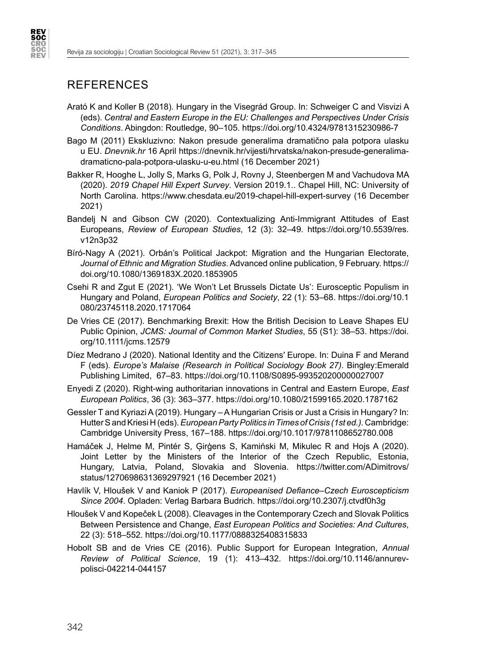## **REFERENCES**

**REV<br>SOC CRO<br>SOC<br>REV** 

- Arató K and Koller B (2018). Hungary in the Visegrád Group. In: Schweiger C and Visvizi A (eds). *Central and Eastern Europe in the EU: Challenges and Perspectives Under Crisis Conditions*. Abingdon: Routledge, 90–105. https://doi.org/10.4324/9781315230986-7
- Bago M (2011) Ekskluzivno: Nakon presude generalima dramatično pala potpora ulasku u EU. *Dnevnik.hr* 16 April https://dnevnik.hr/vijesti/hrvatska/nakon-presude-generalimadramaticno-pala-potpora-ulasku-u-eu.html (16 December 2021)
- Bakker R, Hooghe L, Jolly S, Marks G, Polk J, Rovny J, Steenbergen M and Vachudova MA (2020). *2019 Chapel Hill Expert Survey*. Version 2019.1.. Chapel Hill, NC: University of North Carolina. https://www.chesdata.eu/2019-chapel-hill-expert-survey (16 December 2021)
- Bandelj N and Gibson CW (2020). Contextualizing Anti-Immigrant Attitudes of East Europeans, *Review of European Studies*, 12 (3): 32–49. [https://doi.org/10.5539/res.](https://doi.org/10.5539/res.v12n3p32) [v12n3p32](https://doi.org/10.5539/res.v12n3p32)
- Bíró-Nagy A (2021). Orbán's Political Jackpot: Migration and the Hungarian Electorate, *Journal of Ethnic and Migration Studies*. Advanced online publication, 9 February. [https://](https://doi.org/10.1080/1369183X.2020.1853905) [doi.org/10.1080/1369183X.2020.1853905](https://doi.org/10.1080/1369183X.2020.1853905)
- Csehi R and Zgut E (2021). 'We Won't Let Brussels Dictate Us': Eurosceptic Populism in Hungary and Poland, *European Politics and Society*, 22 (1): 53–68. [https://doi.org/10.1](https://doi.org/10.1080/23745118.2020.1717064) [080/23745118.2020.1717064](https://doi.org/10.1080/23745118.2020.1717064)
- De Vries CE (2017). Benchmarking Brexit: How the British Decision to Leave Shapes EU Public Opinion, *JCMS: Journal of Common Market Studies*, 55 (S1): 38–53. [https://doi.](https://doi.org/10.1111/jcms.12579) [org/10.1111/jcms.12579](https://doi.org/10.1111/jcms.12579)
- Díez Medrano J (2020). National Identity and the Citizens′ Europe. In: Duina F and Merand F (eds). *Europe's Malaise (Research in Political Sociology Book 27)*. Bingley:Emerald Publishing Limited, 67–83. https://doi.org/10.1108/S0895-993520200000027007
- Enyedi Z (2020). Right-wing authoritarian innovations in Central and Eastern Europe, *East European Politics*, 36 (3): 363–377. <https://doi.org/10.1080/21599165.2020.1787162>
- Gessler T and Kyriazi A (2019). Hungary A Hungarian Crisis or Just a Crisis in Hungary? In: Hutter S and Kriesi H (eds). *European Party Politics in Times of Crisis (1st ed.).* Cambridge: Cambridge University Press, 167–188. <https://doi.org/10.1017/9781108652780.008>
- Hamáček J, Helme M, Pintér S, Ģirģens S, Kamiński M, Mikulec R and Hojs A (2020). Joint Letter by the Ministers of the Interior of the Czech Republic, Estonia, Hungary, Latvia, Poland, Slovakia and Slovenia. https://twitter.com/ADimitrovs/ status/1270698631369297921 (16 December 2021)
- Havlík V, Hloušek V and Kaniok P (2017). *Europeanised Defiance–Czech Euroscepticism Since 2004*. Opladen: Verlag Barbara Budrich. https://doi.org/10.2307/j.ctvdf0h3g
- Hloušek V and Kopeček L (2008). Cleavages in the Contemporary Czech and Slovak Politics Between Persistence and Change, *East European Politics and Societies: And Cultures*, 22 (3): 518–552. <https://doi.org/10.1177/0888325408315833>
- Hobolt SB and de Vries CE (2016). Public Support for European Integration, *Annual Review of Political Science*, 19 (1): 413–432. [https://doi.org/10.1146/annurev](https://doi.org/10.1146/annurev-polisci-042214-044157)[polisci-042214-044157](https://doi.org/10.1146/annurev-polisci-042214-044157)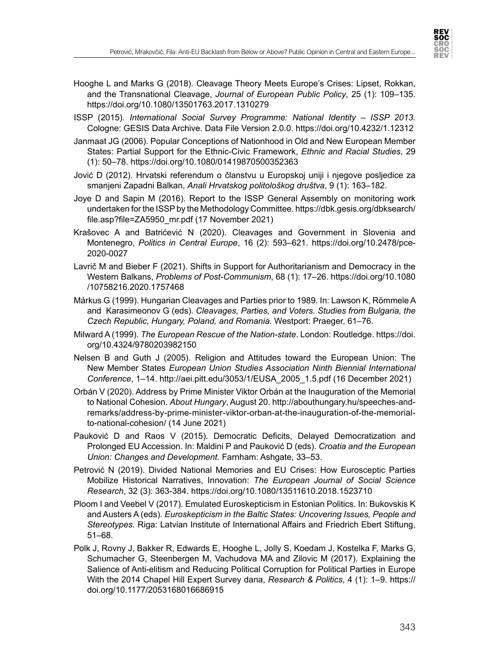

- Hooghe L and Marks G (2018). Cleavage Theory Meets Europe's Crises: Lipset, Rokkan, and the Transnational Cleavage, *Journal of European Public Policy*, 25 (1): 109–135. <https://doi.org/10.1080/13501763.2017.1310279>
- ISSP (2015). *International Social Survey Programme: National Identity ISSP 2013.* Cologne: GESIS Data Archive. Data File Version 2.0.0. https://doi.org/10.4232/1.12312
- Janmaat JG (2006). Popular Conceptions of Nationhood in Old and New European Member States: Partial Support for the Ethnic-Civic Framework, *Ethnic and Racial Studies*, 29 (1): 50–78. <https://doi.org/10.1080/01419870500352363>
- Jović D (2012). Hrvatski referendum o članstvu u Europskoj uniji i njegove posljedice za smanjeni Zapadni Balkan, *Anali Hrvatskog politološkog društva*, 9 (1): 163–182.
- Joye D and Sapin M (2016). Report to the ISSP General Assembly on monitoring work undertaken for the ISSP by the Methodology Committee. [https://dbk.gesis.org/dbksearch/](https://dbk.gesis.org/dbksearch/file.asp?file=ZA5950_mr.pdf) [file.asp?file=ZA5950\\_mr.pdf](https://dbk.gesis.org/dbksearch/file.asp?file=ZA5950_mr.pdf) (17 November 2021)
- Krašovec A and Batrićević N (2020). Cleavages and Government in Slovenia and Montenegro, *Politics in Central Europe*, 16 (2): 593–621. [https://doi.org/10.2478/pce-](https://doi.org/10.2478/pce-2020-0027)[2020-0027](https://doi.org/10.2478/pce-2020-0027)
- Lavrič M and Bieber F (2021). Shifts in Support for Authoritarianism and Democracy in the Western Balkans, *Problems of Post-Communism*, 68 (1): 17–26. [https://doi.org/10.1080](https://doi.org/10.1080/10758216.2020.1757468) [/10758216.2020.1757468](https://doi.org/10.1080/10758216.2020.1757468)
- Márkus G (1999). Hungarian Cleavages and Parties prior to 1989. In: Lawson K, Römmele A and Karasimeonov G (eds). *Cleavages, Parties, and Voters. Studies from Bulgaria, the Czech Republic, Hungary, Poland, and Romania*. Westport: Praeger, 61–76.
- Milward A (1999). *The European Rescue of the Nation-state*. London: Routledge. https://doi. org/10.4324/9780203982150
- Nelsen B and Guth J (2005). Religion and Attitudes toward the European Union: The New Member States *European Union Studies Association Ninth Biennial International Conference*, 1–14. [http://aei.pitt.edu/3053/1/EUSA\\_2005\\_1.5.pdf \(16](http://aei.pitt.edu/3053/1/EUSA_2005_1.5.pdf%20(16) December 2021)
- Orbán V (2020). Address by Prime Minister Viktor Orbán at the Inauguration of the Memorial to National Cohesion. *About Hungary*, August 20. [http://abouthungary.hu/speeches-and](http://abouthungary.hu/speeches-and-remarks/address-by-prime-minister-viktor-orban-at-the-inauguration-of-the-memorial-to-national-cohesion/)[remarks/address-by-prime-minister-viktor-orban-at-the-inauguration-of-the-memorial](http://abouthungary.hu/speeches-and-remarks/address-by-prime-minister-viktor-orban-at-the-inauguration-of-the-memorial-to-national-cohesion/)[to-national-cohesion/](http://abouthungary.hu/speeches-and-remarks/address-by-prime-minister-viktor-orban-at-the-inauguration-of-the-memorial-to-national-cohesion/) (14 June 2021)
- Pauković D and Raos V (2015). Democratic Deficits, Delayed Democratization and Prolonged EU Accession. In: Maldini P and Pauković D (eds). *Croatia and the European Union: Changes and Development*. Farnham: Ashgate, 33–53.
- Petrović N (2019). Divided National Memories and EU Crises: How Eurosceptic Parties Mobilize Historical Narratives, Innovation: *The European Journal of Social Science Research*, 32 (3): 363-384. https://doi.org/10.1080/13511610.2018.1523710
- Ploom I and Veebel V (2017). Emulated Euroskepticism in Estonian Politics. In: Bukovskis K and Austers A (eds). *Euroskepticism in the Baltic States: Uncovering Issues, People and Stereotypes*. Riga: Latvian Institute of International Affairs and Friedrich Ebert Stiftung, 51–68.
- Polk J, Rovny J, Bakker R, Edwards E, Hooghe L, Jolly S, Koedam J, Kostelka F, Marks G, Schumacher G, Steenbergen M, Vachudova MA and Zilovic M (2017). Explaining the Salience of Anti-elitism and Reducing Political Corruption for Political Parties in Europe With the 2014 Chapel Hill Expert Survey dana, *Research & Politics*, 4 (1): 1–9. [https://](https://doi.org/10.1177/2053168016686915) [doi.org/10.1177/2053168016686915](https://doi.org/10.1177/2053168016686915)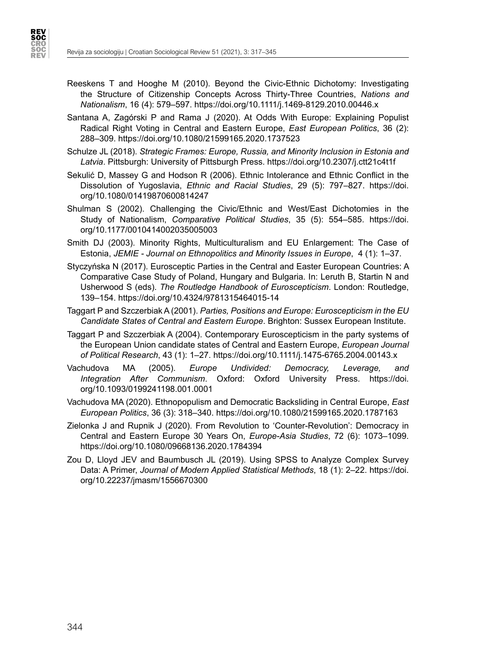**REV<br>SOC CRO<br>SOC<br>REV** 



- Santana A, Zagórski P and Rama J (2020). At Odds With Europe: Explaining Populist Radical Right Voting in Central and Eastern Europe, *East European Politics*, 36 (2): 288–309. <https://doi.org/10.1080/21599165.2020.1737523>
- Schulze JL (2018). *Strategic Frames: Europe, Russia, and Minority Inclusion in Estonia and Latvia*. Pittsburgh: University of Pittsburgh Press. https://doi.org/10.2307/j.ctt21c4t1f
- Sekulić D, Massey G and Hodson R (2006). Ethnic Intolerance and Ethnic Conflict in the Dissolution of Yugoslavia, *Ethnic and Racial Studies*, 29 (5): 797–827. [https://doi.](https://doi.org/10.1080/01419870600814247) [org/10.1080/01419870600814247](https://doi.org/10.1080/01419870600814247)
- Shulman S (2002). Challenging the Civic/Ethnic and West/East Dichotomies in the Study of Nationalism, *Comparative Political Studies*, 35 (5): 554–585. [https://doi.](https://doi.org/10.1177/0010414002035005003) [org/10.1177/0010414002035005003](https://doi.org/10.1177/0010414002035005003)
- Smith DJ (2003). Minority Rights, Multiculturalism and EU Enlargement: The Case of Estonia, *JEMIE - Journal on Ethnopolitics and Minority Issues in Europe*, 4 (1): 1–37.
- Styczyńska N (2017). Eurosceptic Parties in the Central and Easter European Countries: A Comparative Case Study of Poland, Hungary and Bulgaria. In: Leruth B, Startin N and Usherwood S (eds). *The Routledge Handbook of Euroscepticism*. London: Routledge, 139–154. https://doi.org/10.4324/9781315464015-14
- Taggart P and Szczerbiak A (2001). *Parties, Positions and Europe: Euroscepticism in the EU Candidate States of Central and Eastern Europe*. Brighton: Sussex European Institute.
- Taggart P and Szczerbiak A (2004). Contemporary Euroscepticism in the party systems of the European Union candidate states of Central and Eastern Europe, *European Journal of Political Research*, 43 (1): 1–27. <https://doi.org/10.1111/j.1475-6765.2004.00143.x>
- Vachudova MA (2005). *Europe Undivided: Democracy, Leverage, and Integration After Communism*. Oxford: Oxford University Press. https://doi. org/10.1093/0199241198.001.0001
- Vachudova MA (2020). Ethnopopulism and Democratic Backsliding in Central Europe, *East European Politics*, 36 (3): 318–340. <https://doi.org/10.1080/21599165.2020.1787163>
- Zielonka J and Rupnik J (2020). From Revolution to 'Counter-Revolution': Democracy in Central and Eastern Europe 30 Years On, *Europe-Asia Studies*, 72 (6): 1073–1099. <https://doi.org/10.1080/09668136.2020.1784394>
- Zou D, Lloyd JEV and Baumbusch JL (2019). Using SPSS to Analyze Complex Survey Data: A Primer, *Journal of Modern Applied Statistical Methods*, 18 (1): 2–22. [https://doi.](https://doi.org/10.22237/jmasm/1556670300) [org/10.22237/jmasm/1556670300](https://doi.org/10.22237/jmasm/1556670300)